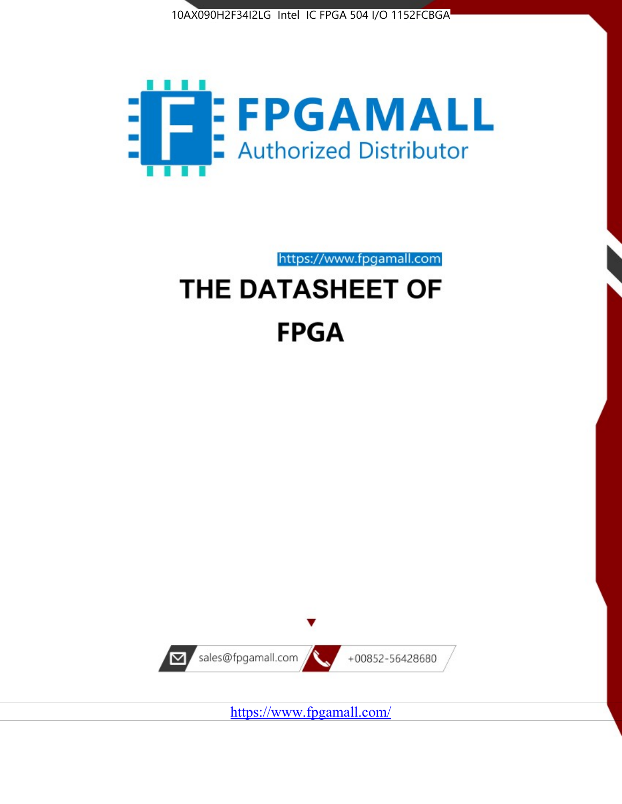



https://www.fpgamall.com

# THE DATASHEET OF **FPGA**



<https://www.fpgamall.com/>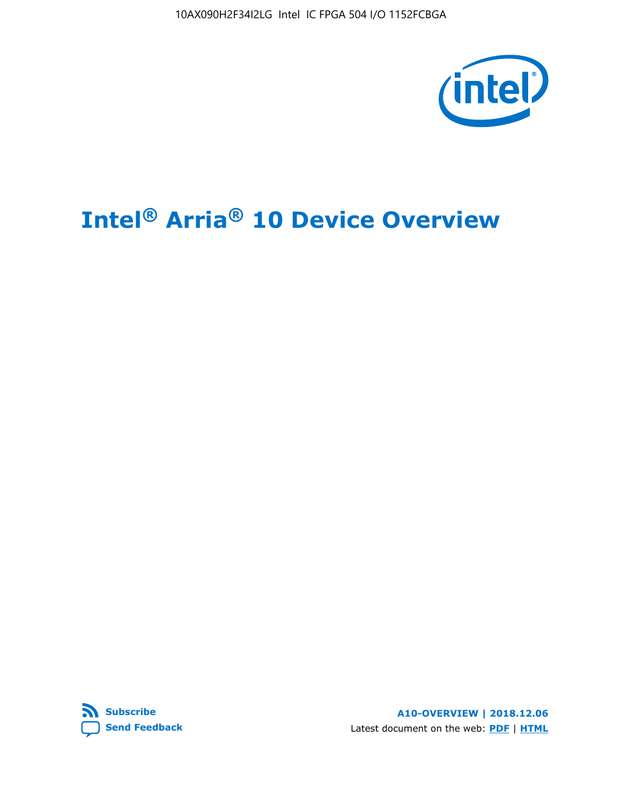10AX090H2F34I2LG Intel IC FPGA 504 I/O 1152FCBGA



# **Intel® Arria® 10 Device Overview**



**A10-OVERVIEW | 2018.12.06** Latest document on the web: **[PDF](https://www.intel.com/content/dam/www/programmable/us/en/pdfs/literature/hb/arria-10/a10_overview.pdf)** | **[HTML](https://www.intel.com/content/www/us/en/programmable/documentation/sam1403480274650.html)**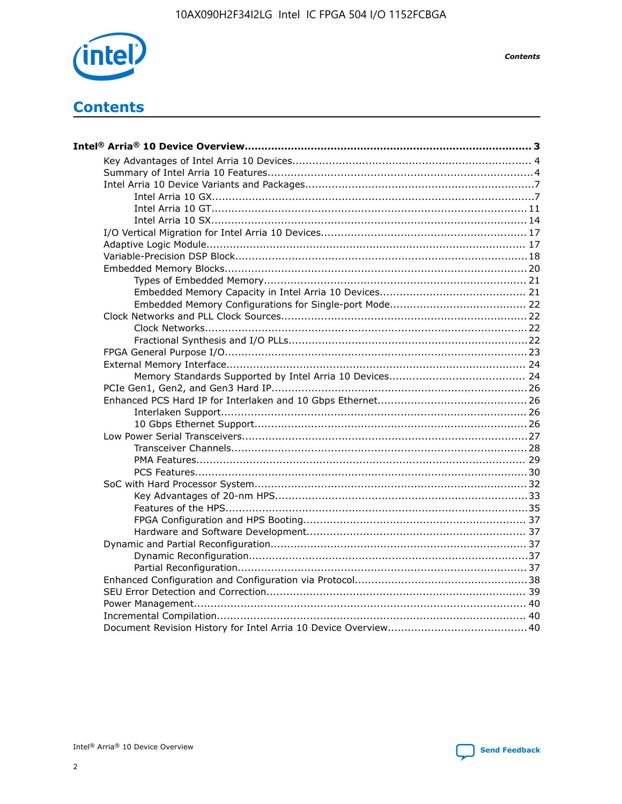

**Contents** 

# **Contents**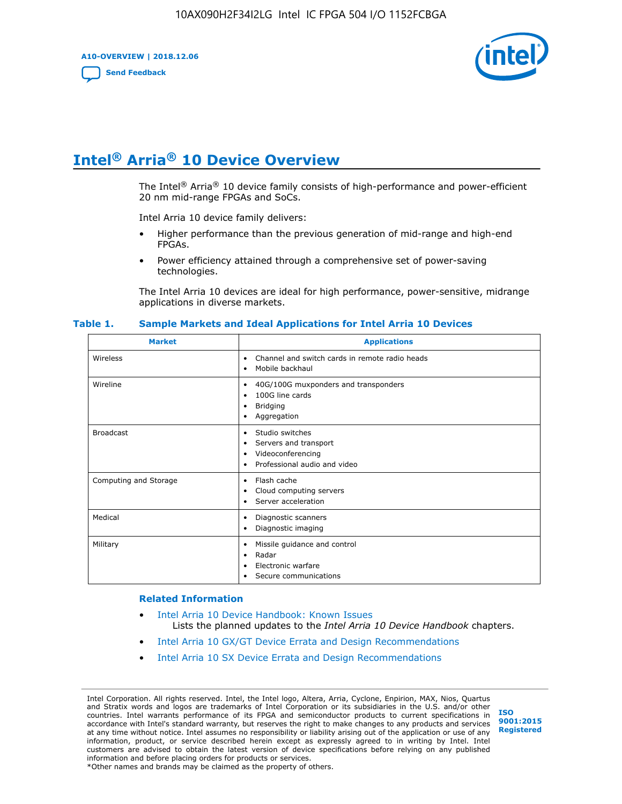**A10-OVERVIEW | 2018.12.06**

**[Send Feedback](mailto:FPGAtechdocfeedback@intel.com?subject=Feedback%20on%20Intel%20Arria%2010%20Device%20Overview%20(A10-OVERVIEW%202018.12.06)&body=We%20appreciate%20your%20feedback.%20In%20your%20comments,%20also%20specify%20the%20page%20number%20or%20paragraph.%20Thank%20you.)**



# **Intel® Arria® 10 Device Overview**

The Intel<sup>®</sup> Arria<sup>®</sup> 10 device family consists of high-performance and power-efficient 20 nm mid-range FPGAs and SoCs.

Intel Arria 10 device family delivers:

- Higher performance than the previous generation of mid-range and high-end FPGAs.
- Power efficiency attained through a comprehensive set of power-saving technologies.

The Intel Arria 10 devices are ideal for high performance, power-sensitive, midrange applications in diverse markets.

| <b>Market</b>         | <b>Applications</b>                                                                                               |
|-----------------------|-------------------------------------------------------------------------------------------------------------------|
| Wireless              | Channel and switch cards in remote radio heads<br>٠<br>Mobile backhaul<br>٠                                       |
| Wireline              | 40G/100G muxponders and transponders<br>٠<br>100G line cards<br>٠<br><b>Bridging</b><br>٠<br>Aggregation<br>٠     |
| <b>Broadcast</b>      | Studio switches<br>٠<br>Servers and transport<br>٠<br>Videoconferencing<br>٠<br>Professional audio and video<br>٠ |
| Computing and Storage | Flash cache<br>٠<br>Cloud computing servers<br>٠<br>Server acceleration<br>٠                                      |
| Medical               | Diagnostic scanners<br>٠<br>Diagnostic imaging<br>٠                                                               |
| Military              | Missile guidance and control<br>٠<br>Radar<br>٠<br>Electronic warfare<br>٠<br>Secure communications<br>٠          |

#### **Table 1. Sample Markets and Ideal Applications for Intel Arria 10 Devices**

#### **Related Information**

- [Intel Arria 10 Device Handbook: Known Issues](http://www.altera.com/support/kdb/solutions/rd07302013_646.html) Lists the planned updates to the *Intel Arria 10 Device Handbook* chapters.
- [Intel Arria 10 GX/GT Device Errata and Design Recommendations](https://www.intel.com/content/www/us/en/programmable/documentation/agz1493851706374.html#yqz1494433888646)
- [Intel Arria 10 SX Device Errata and Design Recommendations](https://www.intel.com/content/www/us/en/programmable/documentation/cru1462832385668.html#cru1462832558642)

Intel Corporation. All rights reserved. Intel, the Intel logo, Altera, Arria, Cyclone, Enpirion, MAX, Nios, Quartus and Stratix words and logos are trademarks of Intel Corporation or its subsidiaries in the U.S. and/or other countries. Intel warrants performance of its FPGA and semiconductor products to current specifications in accordance with Intel's standard warranty, but reserves the right to make changes to any products and services at any time without notice. Intel assumes no responsibility or liability arising out of the application or use of any information, product, or service described herein except as expressly agreed to in writing by Intel. Intel customers are advised to obtain the latest version of device specifications before relying on any published information and before placing orders for products or services. \*Other names and brands may be claimed as the property of others.

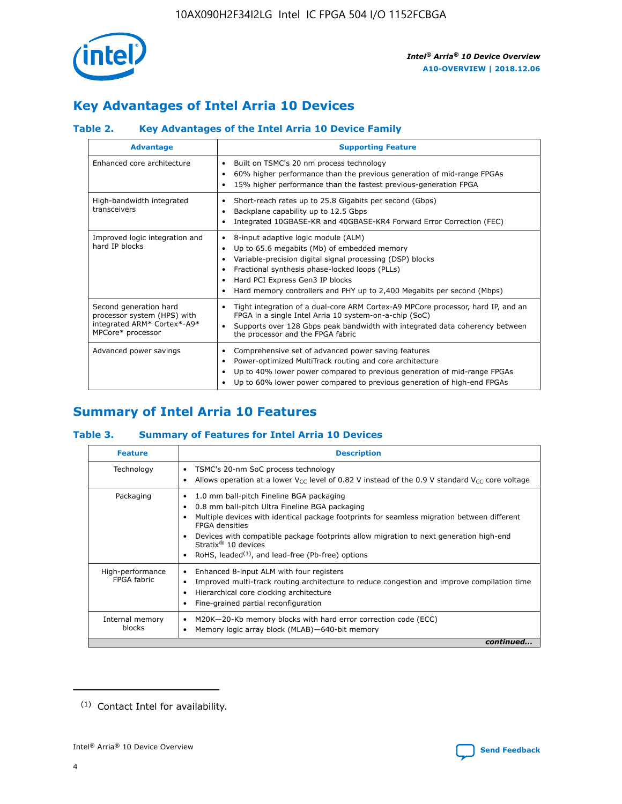

# **Key Advantages of Intel Arria 10 Devices**

## **Table 2. Key Advantages of the Intel Arria 10 Device Family**

| <b>Advantage</b>                                                                                          | <b>Supporting Feature</b>                                                                                                                                                                                                                                                                                                |  |  |  |  |  |  |
|-----------------------------------------------------------------------------------------------------------|--------------------------------------------------------------------------------------------------------------------------------------------------------------------------------------------------------------------------------------------------------------------------------------------------------------------------|--|--|--|--|--|--|
| Enhanced core architecture                                                                                | Built on TSMC's 20 nm process technology<br>٠<br>60% higher performance than the previous generation of mid-range FPGAs<br>٠<br>15% higher performance than the fastest previous-generation FPGA<br>٠                                                                                                                    |  |  |  |  |  |  |
| High-bandwidth integrated<br>transceivers                                                                 | Short-reach rates up to 25.8 Gigabits per second (Gbps)<br>٠<br>Backplane capability up to 12.5 Gbps<br>٠<br>Integrated 10GBASE-KR and 40GBASE-KR4 Forward Error Correction (FEC)<br>٠                                                                                                                                   |  |  |  |  |  |  |
| Improved logic integration and<br>hard IP blocks                                                          | 8-input adaptive logic module (ALM)<br>٠<br>Up to 65.6 megabits (Mb) of embedded memory<br>٠<br>Variable-precision digital signal processing (DSP) blocks<br>Fractional synthesis phase-locked loops (PLLs)<br>Hard PCI Express Gen3 IP blocks<br>Hard memory controllers and PHY up to 2,400 Megabits per second (Mbps) |  |  |  |  |  |  |
| Second generation hard<br>processor system (HPS) with<br>integrated ARM* Cortex*-A9*<br>MPCore* processor | Tight integration of a dual-core ARM Cortex-A9 MPCore processor, hard IP, and an<br>٠<br>FPGA in a single Intel Arria 10 system-on-a-chip (SoC)<br>Supports over 128 Gbps peak bandwidth with integrated data coherency between<br>$\bullet$<br>the processor and the FPGA fabric                                        |  |  |  |  |  |  |
| Advanced power savings                                                                                    | Comprehensive set of advanced power saving features<br>٠<br>Power-optimized MultiTrack routing and core architecture<br>٠<br>Up to 40% lower power compared to previous generation of mid-range FPGAs<br>Up to 60% lower power compared to previous generation of high-end FPGAs                                         |  |  |  |  |  |  |

# **Summary of Intel Arria 10 Features**

## **Table 3. Summary of Features for Intel Arria 10 Devices**

| <b>Feature</b>                  | <b>Description</b>                                                                                                                                                                                                                                                                                                                                                                                           |
|---------------------------------|--------------------------------------------------------------------------------------------------------------------------------------------------------------------------------------------------------------------------------------------------------------------------------------------------------------------------------------------------------------------------------------------------------------|
| Technology                      | TSMC's 20-nm SoC process technology<br>Allows operation at a lower $V_{\text{CC}}$ level of 0.82 V instead of the 0.9 V standard $V_{\text{CC}}$ core voltage                                                                                                                                                                                                                                                |
| Packaging                       | 1.0 mm ball-pitch Fineline BGA packaging<br>٠<br>0.8 mm ball-pitch Ultra Fineline BGA packaging<br>Multiple devices with identical package footprints for seamless migration between different<br><b>FPGA</b> densities<br>Devices with compatible package footprints allow migration to next generation high-end<br>Stratix <sup>®</sup> 10 devices<br>RoHS, leaded $(1)$ , and lead-free (Pb-free) options |
| High-performance<br>FPGA fabric | Enhanced 8-input ALM with four registers<br>Improved multi-track routing architecture to reduce congestion and improve compilation time<br>Hierarchical core clocking architecture<br>Fine-grained partial reconfiguration                                                                                                                                                                                   |
| Internal memory<br>blocks       | M20K-20-Kb memory blocks with hard error correction code (ECC)<br>Memory logic array block (MLAB)-640-bit memory                                                                                                                                                                                                                                                                                             |
|                                 | continued                                                                                                                                                                                                                                                                                                                                                                                                    |



<sup>(1)</sup> Contact Intel for availability.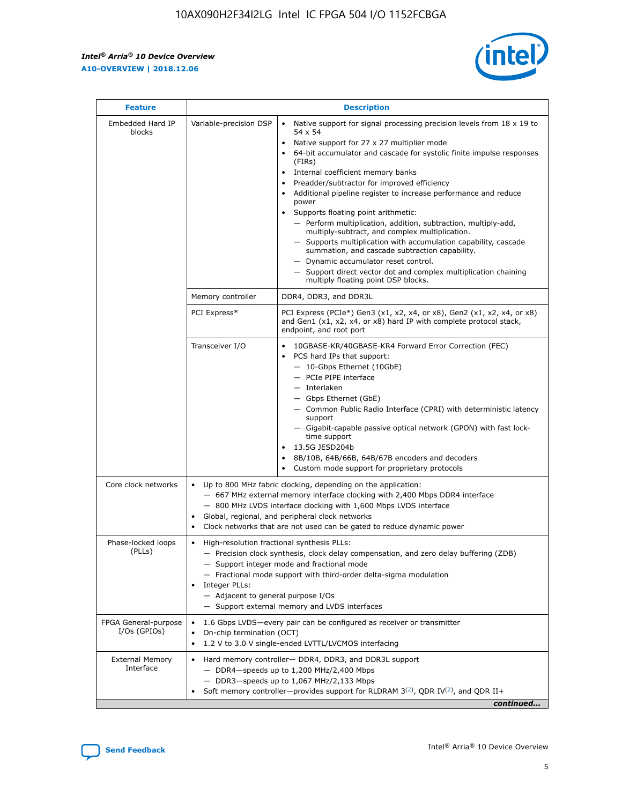r



| <b>Feature</b>                         | <b>Description</b>                                                                                             |                                                                                                                                                                                                                                                                                                                                                                                                                                                                                                                                                                                                                                                                                                                                                                                                                                                                  |  |  |  |  |  |  |
|----------------------------------------|----------------------------------------------------------------------------------------------------------------|------------------------------------------------------------------------------------------------------------------------------------------------------------------------------------------------------------------------------------------------------------------------------------------------------------------------------------------------------------------------------------------------------------------------------------------------------------------------------------------------------------------------------------------------------------------------------------------------------------------------------------------------------------------------------------------------------------------------------------------------------------------------------------------------------------------------------------------------------------------|--|--|--|--|--|--|
| Embedded Hard IP<br>blocks             | Variable-precision DSP                                                                                         | Native support for signal processing precision levels from $18 \times 19$ to<br>$\bullet$<br>54 x 54<br>Native support for 27 x 27 multiplier mode<br>$\bullet$<br>64-bit accumulator and cascade for systolic finite impulse responses<br>(FIRs)<br>Internal coefficient memory banks<br>$\bullet$<br>Preadder/subtractor for improved efficiency<br>Additional pipeline register to increase performance and reduce<br>power<br>Supports floating point arithmetic:<br>- Perform multiplication, addition, subtraction, multiply-add,<br>multiply-subtract, and complex multiplication.<br>- Supports multiplication with accumulation capability, cascade<br>summation, and cascade subtraction capability.<br>- Dynamic accumulator reset control.<br>- Support direct vector dot and complex multiplication chaining<br>multiply floating point DSP blocks. |  |  |  |  |  |  |
|                                        | Memory controller                                                                                              | DDR4, DDR3, and DDR3L                                                                                                                                                                                                                                                                                                                                                                                                                                                                                                                                                                                                                                                                                                                                                                                                                                            |  |  |  |  |  |  |
|                                        | PCI Express*                                                                                                   | PCI Express (PCIe*) Gen3 (x1, x2, x4, or x8), Gen2 (x1, x2, x4, or x8)<br>and Gen1 (x1, x2, x4, or x8) hard IP with complete protocol stack,<br>endpoint, and root port                                                                                                                                                                                                                                                                                                                                                                                                                                                                                                                                                                                                                                                                                          |  |  |  |  |  |  |
|                                        | Transceiver I/O                                                                                                | 10GBASE-KR/40GBASE-KR4 Forward Error Correction (FEC)<br>PCS hard IPs that support:<br>- 10-Gbps Ethernet (10GbE)<br>- PCIe PIPE interface<br>- Interlaken<br>- Gbps Ethernet (GbE)<br>- Common Public Radio Interface (CPRI) with deterministic latency<br>support<br>- Gigabit-capable passive optical network (GPON) with fast lock-<br>time support<br>13.5G JESD204b<br>$\bullet$<br>8B/10B, 64B/66B, 64B/67B encoders and decoders<br>Custom mode support for proprietary protocols                                                                                                                                                                                                                                                                                                                                                                        |  |  |  |  |  |  |
| Core clock networks                    | $\bullet$                                                                                                      | Up to 800 MHz fabric clocking, depending on the application:<br>- 667 MHz external memory interface clocking with 2,400 Mbps DDR4 interface<br>- 800 MHz LVDS interface clocking with 1,600 Mbps LVDS interface<br>Global, regional, and peripheral clock networks<br>Clock networks that are not used can be gated to reduce dynamic power                                                                                                                                                                                                                                                                                                                                                                                                                                                                                                                      |  |  |  |  |  |  |
| Phase-locked loops<br>(PLLs)           | High-resolution fractional synthesis PLLs:<br>$\bullet$<br>Integer PLLs:<br>- Adjacent to general purpose I/Os | - Precision clock synthesis, clock delay compensation, and zero delay buffering (ZDB)<br>- Support integer mode and fractional mode<br>- Fractional mode support with third-order delta-sigma modulation<br>- Support external memory and LVDS interfaces                                                                                                                                                                                                                                                                                                                                                                                                                                                                                                                                                                                                        |  |  |  |  |  |  |
| FPGA General-purpose<br>$I/Os$ (GPIOs) | On-chip termination (OCT)<br>٠<br>$\bullet$                                                                    | 1.6 Gbps LVDS-every pair can be configured as receiver or transmitter                                                                                                                                                                                                                                                                                                                                                                                                                                                                                                                                                                                                                                                                                                                                                                                            |  |  |  |  |  |  |
| <b>External Memory</b><br>Interface    | $\bullet$                                                                                                      | 1.2 V to 3.0 V single-ended LVTTL/LVCMOS interfacing<br>Hard memory controller- DDR4, DDR3, and DDR3L support<br>$-$ DDR4-speeds up to 1,200 MHz/2,400 Mbps<br>- DDR3-speeds up to 1,067 MHz/2,133 Mbps<br>Soft memory controller—provides support for RLDRAM $3^{(2)}$ , QDR IV $^{(2)}$ , and QDR II+<br>continued                                                                                                                                                                                                                                                                                                                                                                                                                                                                                                                                             |  |  |  |  |  |  |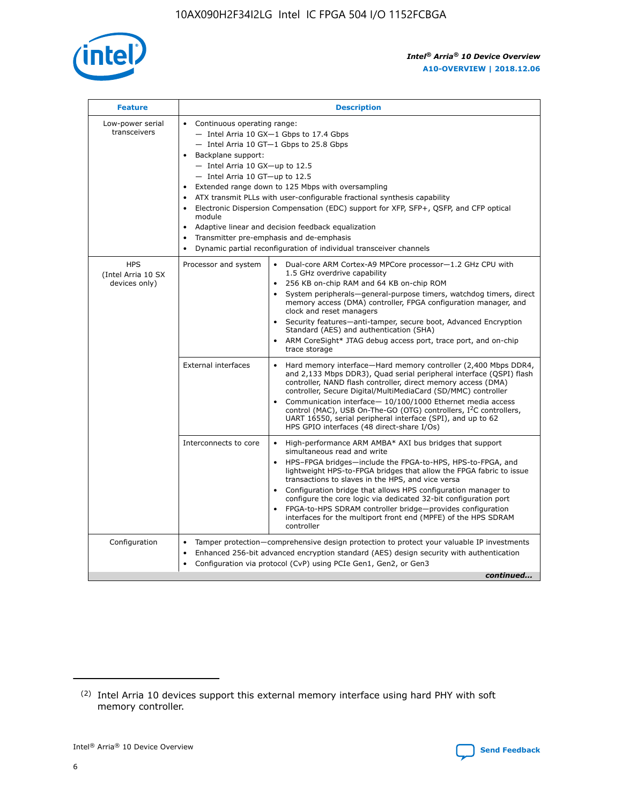

| <b>Feature</b>                                    | <b>Description</b>                                                                                                                                                                                                                                                                                                                                                                                                                                                                                                                                                                                                                                    |  |  |  |  |  |  |
|---------------------------------------------------|-------------------------------------------------------------------------------------------------------------------------------------------------------------------------------------------------------------------------------------------------------------------------------------------------------------------------------------------------------------------------------------------------------------------------------------------------------------------------------------------------------------------------------------------------------------------------------------------------------------------------------------------------------|--|--|--|--|--|--|
| Low-power serial<br>transceivers                  | • Continuous operating range:<br>- Intel Arria 10 GX-1 Gbps to 17.4 Gbps<br>- Intel Arria 10 GT-1 Gbps to 25.8 Gbps<br>Backplane support:<br>$-$ Intel Arria 10 GX-up to 12.5<br>- Intel Arria 10 GT-up to 12.5<br>Extended range down to 125 Mbps with oversampling<br>ATX transmit PLLs with user-configurable fractional synthesis capability<br>Electronic Dispersion Compensation (EDC) support for XFP, SFP+, QSFP, and CFP optical<br>module<br>Adaptive linear and decision feedback equalization<br>$\bullet$<br>Transmitter pre-emphasis and de-emphasis<br>$\bullet$<br>Dynamic partial reconfiguration of individual transceiver channels |  |  |  |  |  |  |
| <b>HPS</b><br>(Intel Arria 10 SX<br>devices only) | • Dual-core ARM Cortex-A9 MPCore processor-1.2 GHz CPU with<br>Processor and system<br>1.5 GHz overdrive capability<br>256 KB on-chip RAM and 64 KB on-chip ROM<br>$\bullet$<br>System peripherals—general-purpose timers, watchdog timers, direct<br>memory access (DMA) controller, FPGA configuration manager, and<br>clock and reset managers<br>Security features—anti-tamper, secure boot, Advanced Encryption<br>$\bullet$<br>Standard (AES) and authentication (SHA)<br>ARM CoreSight* JTAG debug access port, trace port, and on-chip<br>$\bullet$<br>trace storage                                                                          |  |  |  |  |  |  |
|                                                   | <b>External interfaces</b><br>Hard memory interface-Hard memory controller (2,400 Mbps DDR4,<br>$\bullet$<br>and 2,133 Mbps DDR3), Quad serial peripheral interface (QSPI) flash<br>controller, NAND flash controller, direct memory access (DMA)<br>controller, Secure Digital/MultiMediaCard (SD/MMC) controller<br>Communication interface-10/100/1000 Ethernet media access<br>$\bullet$<br>control (MAC), USB On-The-GO (OTG) controllers, I <sup>2</sup> C controllers,<br>UART 16550, serial peripheral interface (SPI), and up to 62<br>HPS GPIO interfaces (48 direct-share I/Os)                                                            |  |  |  |  |  |  |
|                                                   | High-performance ARM AMBA* AXI bus bridges that support<br>Interconnects to core<br>$\bullet$<br>simultaneous read and write<br>HPS-FPGA bridges-include the FPGA-to-HPS, HPS-to-FPGA, and<br>$\bullet$<br>lightweight HPS-to-FPGA bridges that allow the FPGA fabric to issue<br>transactions to slaves in the HPS, and vice versa<br>Configuration bridge that allows HPS configuration manager to<br>configure the core logic via dedicated 32-bit configuration port<br>FPGA-to-HPS SDRAM controller bridge-provides configuration<br>interfaces for the multiport front end (MPFE) of the HPS SDRAM<br>controller                                |  |  |  |  |  |  |
| Configuration                                     | Tamper protection—comprehensive design protection to protect your valuable IP investments<br>Enhanced 256-bit advanced encryption standard (AES) design security with authentication<br>٠<br>Configuration via protocol (CvP) using PCIe Gen1, Gen2, or Gen3<br>continued                                                                                                                                                                                                                                                                                                                                                                             |  |  |  |  |  |  |

<sup>(2)</sup> Intel Arria 10 devices support this external memory interface using hard PHY with soft memory controller.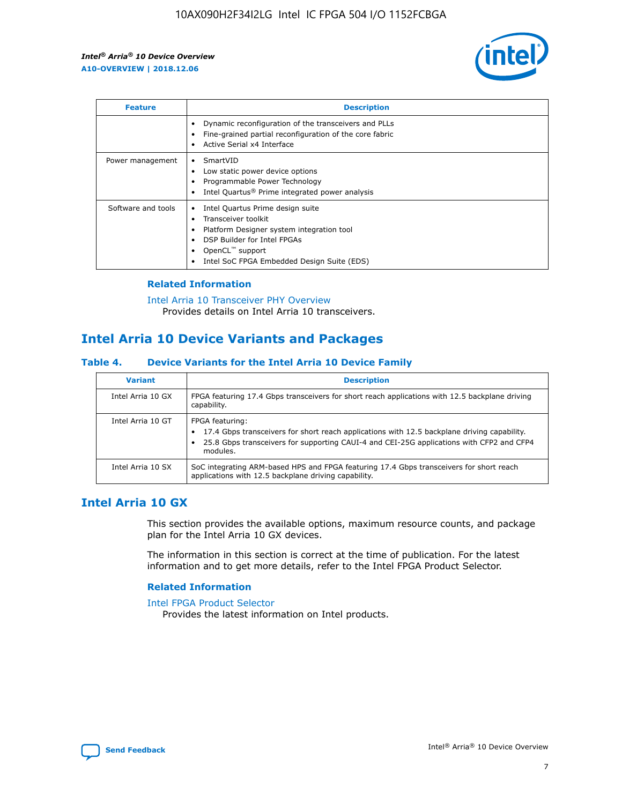

| <b>Feature</b>     | <b>Description</b>                                                                                                                                                                                                    |
|--------------------|-----------------------------------------------------------------------------------------------------------------------------------------------------------------------------------------------------------------------|
|                    | Dynamic reconfiguration of the transceivers and PLLs<br>Fine-grained partial reconfiguration of the core fabric<br>Active Serial x4 Interface                                                                         |
| Power management   | SmartVID<br>Low static power device options<br>Programmable Power Technology<br>Intel Quartus <sup>®</sup> Prime integrated power analysis                                                                            |
| Software and tools | Intel Quartus Prime design suite<br>Transceiver toolkit<br>٠<br>Platform Designer system integration tool<br>DSP Builder for Intel FPGAs<br>OpenCL <sup>™</sup> support<br>Intel SoC FPGA Embedded Design Suite (EDS) |

## **Related Information**

[Intel Arria 10 Transceiver PHY Overview](https://www.intel.com/content/www/us/en/programmable/documentation/nik1398707230472.html#nik1398706768037) Provides details on Intel Arria 10 transceivers.

# **Intel Arria 10 Device Variants and Packages**

#### **Table 4. Device Variants for the Intel Arria 10 Device Family**

| <b>Variant</b>    | <b>Description</b>                                                                                                                                                                                                     |
|-------------------|------------------------------------------------------------------------------------------------------------------------------------------------------------------------------------------------------------------------|
| Intel Arria 10 GX | FPGA featuring 17.4 Gbps transceivers for short reach applications with 12.5 backplane driving<br>capability.                                                                                                          |
| Intel Arria 10 GT | FPGA featuring:<br>17.4 Gbps transceivers for short reach applications with 12.5 backplane driving capability.<br>25.8 Gbps transceivers for supporting CAUI-4 and CEI-25G applications with CFP2 and CFP4<br>modules. |
| Intel Arria 10 SX | SoC integrating ARM-based HPS and FPGA featuring 17.4 Gbps transceivers for short reach<br>applications with 12.5 backplane driving capability.                                                                        |

## **Intel Arria 10 GX**

This section provides the available options, maximum resource counts, and package plan for the Intel Arria 10 GX devices.

The information in this section is correct at the time of publication. For the latest information and to get more details, refer to the Intel FPGA Product Selector.

#### **Related Information**

#### [Intel FPGA Product Selector](http://www.altera.com/products/selector/psg-selector.html) Provides the latest information on Intel products.

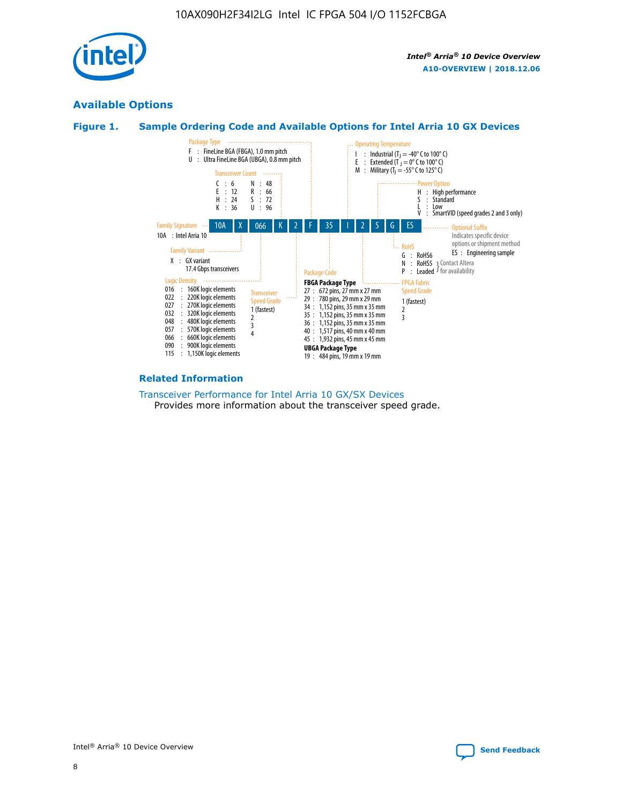

## **Available Options**





#### **Related Information**

[Transceiver Performance for Intel Arria 10 GX/SX Devices](https://www.intel.com/content/www/us/en/programmable/documentation/mcn1413182292568.html#mcn1413213965502) Provides more information about the transceiver speed grade.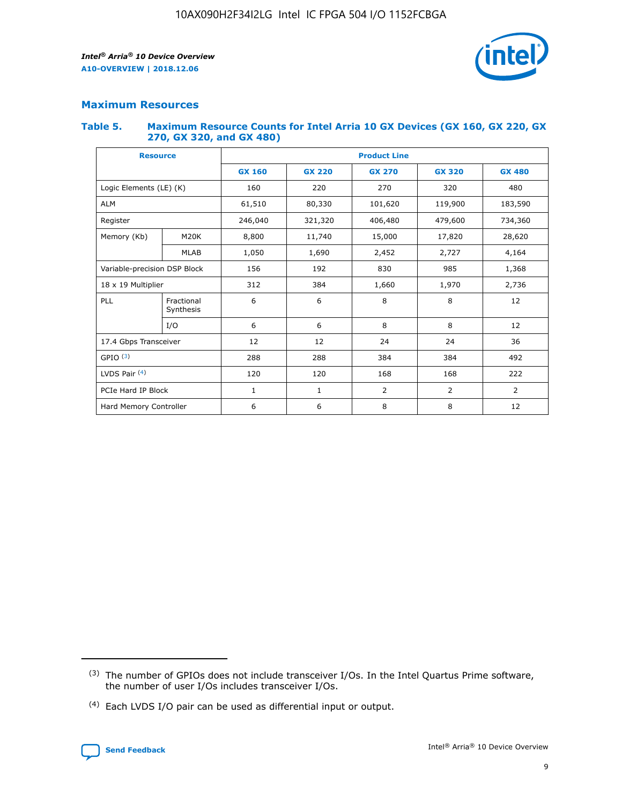

## **Maximum Resources**

#### **Table 5. Maximum Resource Counts for Intel Arria 10 GX Devices (GX 160, GX 220, GX 270, GX 320, and GX 480)**

| <b>Resource</b>         |                                                          | <b>Product Line</b> |                                                 |         |                |                |  |  |  |
|-------------------------|----------------------------------------------------------|---------------------|-------------------------------------------------|---------|----------------|----------------|--|--|--|
|                         |                                                          | <b>GX 160</b>       | <b>GX 220</b><br><b>GX 270</b><br><b>GX 320</b> |         |                | <b>GX 480</b>  |  |  |  |
| Logic Elements (LE) (K) |                                                          | 160                 | 220                                             | 270     | 320            | 480            |  |  |  |
| <b>ALM</b>              |                                                          | 61,510              | 80,330                                          | 101,620 | 119,900        | 183,590        |  |  |  |
| Register                |                                                          | 246,040             | 321,320                                         | 406,480 | 479,600        | 734,360        |  |  |  |
| Memory (Kb)             | M <sub>20</sub> K                                        | 8,800               | 11,740                                          | 15,000  | 17,820         | 28,620         |  |  |  |
| <b>MLAB</b>             |                                                          | 1,050               | 1,690                                           | 2,452   | 2,727          | 4,164          |  |  |  |
|                         | Variable-precision DSP Block<br>156<br>192<br>830<br>985 |                     |                                                 |         | 1,368          |                |  |  |  |
| 18 x 19 Multiplier      |                                                          | 312                 | 384                                             | 1,660   | 1,970          | 2,736          |  |  |  |
| PLL                     | Fractional<br>Synthesis                                  | 6                   | 6                                               | 8       | 8              | 12             |  |  |  |
|                         | I/O                                                      | 6                   | 6                                               | 8       | 8              | 12             |  |  |  |
| 17.4 Gbps Transceiver   |                                                          | 12                  | 12                                              | 24      | 24             | 36             |  |  |  |
| GPIO <sup>(3)</sup>     |                                                          | 288                 | 288                                             | 384     | 384            | 492            |  |  |  |
| LVDS Pair $(4)$         |                                                          | 120                 | 120                                             | 168     | 168            | 222            |  |  |  |
| PCIe Hard IP Block      |                                                          | 1                   | 1                                               | 2       | $\overline{2}$ | $\overline{2}$ |  |  |  |
| Hard Memory Controller  |                                                          | 6                   | 6                                               | 8       | 8              | 12             |  |  |  |

<sup>(4)</sup> Each LVDS I/O pair can be used as differential input or output.



<sup>(3)</sup> The number of GPIOs does not include transceiver I/Os. In the Intel Quartus Prime software, the number of user I/Os includes transceiver I/Os.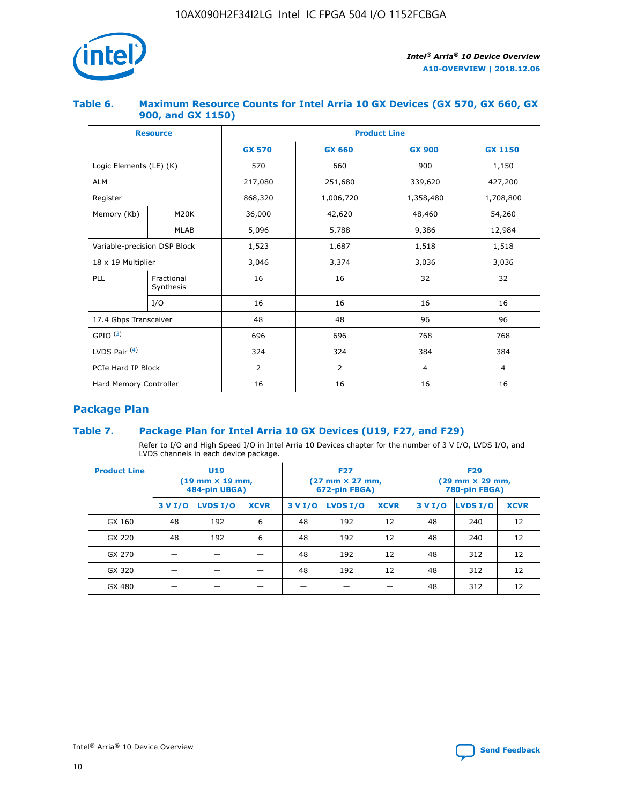

## **Table 6. Maximum Resource Counts for Intel Arria 10 GX Devices (GX 570, GX 660, GX 900, and GX 1150)**

|                              | <b>Resource</b>         | <b>Product Line</b> |                |                |                |  |  |  |
|------------------------------|-------------------------|---------------------|----------------|----------------|----------------|--|--|--|
|                              |                         | <b>GX 570</b>       | <b>GX 660</b>  | <b>GX 900</b>  | <b>GX 1150</b> |  |  |  |
| Logic Elements (LE) (K)      |                         | 570                 | 660            | 900            | 1,150          |  |  |  |
| <b>ALM</b>                   |                         | 217,080             | 251,680        | 339,620        | 427,200        |  |  |  |
| Register                     |                         | 868,320             | 1,006,720      | 1,358,480      | 1,708,800      |  |  |  |
| Memory (Kb)                  | <b>M20K</b>             | 36,000              | 42,620         | 48,460         | 54,260         |  |  |  |
|                              | <b>MLAB</b>             | 5,096               | 5,788          | 9,386          | 12,984         |  |  |  |
| Variable-precision DSP Block |                         | 1,523               | 1,687          | 1,518          | 1,518          |  |  |  |
|                              | 18 x 19 Multiplier      |                     | 3,374          | 3,036          | 3,036          |  |  |  |
| PLL                          | Fractional<br>Synthesis | 16                  | 16             | 32             | 32             |  |  |  |
|                              | I/O                     | 16                  | 16             | 16             | 16             |  |  |  |
| 17.4 Gbps Transceiver        |                         | 48                  | 48             | 96             | 96             |  |  |  |
| GPIO <sup>(3)</sup>          |                         | 696                 | 696            | 768            | 768            |  |  |  |
| LVDS Pair $(4)$              |                         | 324                 | 324            |                | 384            |  |  |  |
| PCIe Hard IP Block           |                         | 2                   | $\overline{2}$ | $\overline{4}$ | $\overline{4}$ |  |  |  |
| Hard Memory Controller       |                         | 16                  | 16             | 16             | 16             |  |  |  |

## **Package Plan**

## **Table 7. Package Plan for Intel Arria 10 GX Devices (U19, F27, and F29)**

Refer to I/O and High Speed I/O in Intel Arria 10 Devices chapter for the number of 3 V I/O, LVDS I/O, and LVDS channels in each device package.

| <b>Product Line</b> | U <sub>19</sub><br>$(19 \text{ mm} \times 19 \text{ mm})$<br>484-pin UBGA) |          |             |         | <b>F27</b><br>(27 mm × 27 mm,<br>672-pin FBGA) |             | <b>F29</b><br>$(29 \text{ mm} \times 29 \text{ mm})$<br>780-pin FBGA) |          |             |  |
|---------------------|----------------------------------------------------------------------------|----------|-------------|---------|------------------------------------------------|-------------|-----------------------------------------------------------------------|----------|-------------|--|
|                     | 3 V I/O                                                                    | LVDS I/O | <b>XCVR</b> | 3 V I/O | LVDS I/O                                       | <b>XCVR</b> | 3 V I/O                                                               | LVDS I/O | <b>XCVR</b> |  |
| GX 160              | 48                                                                         | 192      | 6           | 48      | 192                                            | 12          | 48                                                                    | 240      | 12          |  |
| GX 220              | 48                                                                         | 192      | 6           | 48      | 192                                            | 12          | 48                                                                    | 240      | 12          |  |
| GX 270              |                                                                            |          |             | 48      | 192                                            | 12          | 48                                                                    | 312      | 12          |  |
| GX 320              |                                                                            |          |             | 48      | 192                                            | 12          | 48                                                                    | 312      | 12          |  |
| GX 480              |                                                                            |          |             |         |                                                |             | 48                                                                    | 312      | 12          |  |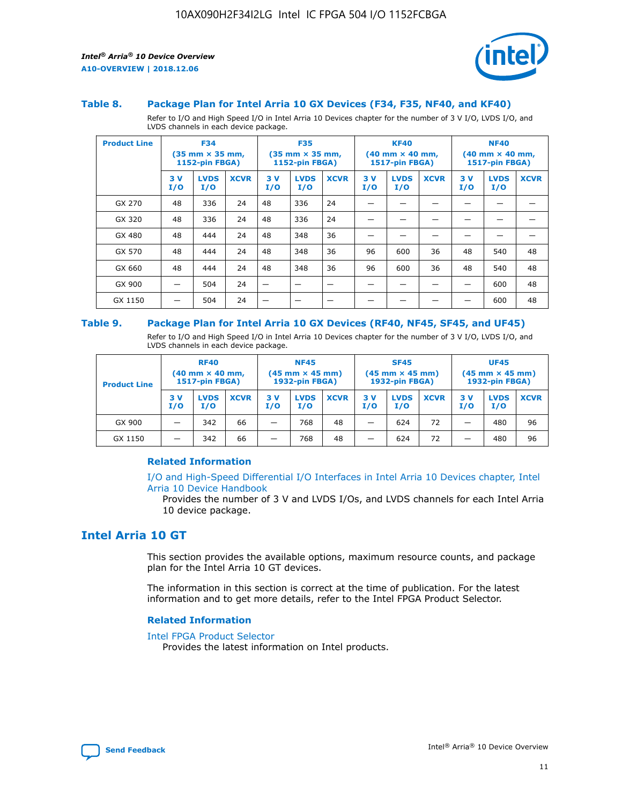



#### **Table 8. Package Plan for Intel Arria 10 GX Devices (F34, F35, NF40, and KF40)**

Refer to I/O and High Speed I/O in Intel Arria 10 Devices chapter for the number of 3 V I/O, LVDS I/O, and LVDS channels in each device package.

| <b>Product Line</b> | <b>F34</b><br>$(35 \text{ mm} \times 35 \text{ mm})$<br>1152-pin FBGA) |                    | <b>F35</b><br>$(35$ mm $\times$ 35 mm,<br><b>1152-pin FBGA)</b> |           | <b>KF40</b><br>$(40$ mm $\times$ 40 mm,<br>1517-pin FBGA) |             |           | <b>NF40</b><br>$(40$ mm $\times$ 40 mm,<br><b>1517-pin FBGA)</b> |             |            |                    |             |
|---------------------|------------------------------------------------------------------------|--------------------|-----------------------------------------------------------------|-----------|-----------------------------------------------------------|-------------|-----------|------------------------------------------------------------------|-------------|------------|--------------------|-------------|
|                     | 3V<br>I/O                                                              | <b>LVDS</b><br>I/O | <b>XCVR</b>                                                     | 3V<br>I/O | <b>LVDS</b><br>I/O                                        | <b>XCVR</b> | 3V<br>I/O | <b>LVDS</b><br>I/O                                               | <b>XCVR</b> | 3 V<br>I/O | <b>LVDS</b><br>I/O | <b>XCVR</b> |
| GX 270              | 48                                                                     | 336                | 24                                                              | 48        | 336                                                       | 24          |           |                                                                  |             |            |                    |             |
| GX 320              | 48                                                                     | 336                | 24                                                              | 48        | 336                                                       | 24          |           |                                                                  |             |            |                    |             |
| GX 480              | 48                                                                     | 444                | 24                                                              | 48        | 348                                                       | 36          |           |                                                                  |             |            |                    |             |
| GX 570              | 48                                                                     | 444                | 24                                                              | 48        | 348                                                       | 36          | 96        | 600                                                              | 36          | 48         | 540                | 48          |
| GX 660              | 48                                                                     | 444                | 24                                                              | 48        | 348                                                       | 36          | 96        | 600                                                              | 36          | 48         | 540                | 48          |
| GX 900              |                                                                        | 504                | 24                                                              | –         |                                                           | -           |           |                                                                  |             |            | 600                | 48          |
| GX 1150             |                                                                        | 504                | 24                                                              |           |                                                           |             |           |                                                                  |             |            | 600                | 48          |

#### **Table 9. Package Plan for Intel Arria 10 GX Devices (RF40, NF45, SF45, and UF45)**

Refer to I/O and High Speed I/O in Intel Arria 10 Devices chapter for the number of 3 V I/O, LVDS I/O, and LVDS channels in each device package.

| <b>Product Line</b> | <b>RF40</b><br>$(40$ mm $\times$ 40 mm,<br>1517-pin FBGA) |                    |             | <b>NF45</b><br>$(45 \text{ mm} \times 45 \text{ mm})$<br><b>1932-pin FBGA)</b> |                    |             | <b>SF45</b><br>$(45 \text{ mm} \times 45 \text{ mm})$<br><b>1932-pin FBGA)</b> |                    |             | <b>UF45</b><br>$(45 \text{ mm} \times 45 \text{ mm})$<br><b>1932-pin FBGA)</b> |                    |             |
|---------------------|-----------------------------------------------------------|--------------------|-------------|--------------------------------------------------------------------------------|--------------------|-------------|--------------------------------------------------------------------------------|--------------------|-------------|--------------------------------------------------------------------------------|--------------------|-------------|
|                     | 3V<br>I/O                                                 | <b>LVDS</b><br>I/O | <b>XCVR</b> | 3 V<br>I/O                                                                     | <b>LVDS</b><br>I/O | <b>XCVR</b> | 3 V<br>I/O                                                                     | <b>LVDS</b><br>I/O | <b>XCVR</b> | 3V<br>I/O                                                                      | <b>LVDS</b><br>I/O | <b>XCVR</b> |
| GX 900              |                                                           | 342                | 66          | _                                                                              | 768                | 48          |                                                                                | 624                | 72          |                                                                                | 480                | 96          |
| GX 1150             |                                                           | 342                | 66          | _                                                                              | 768                | 48          |                                                                                | 624                | 72          |                                                                                | 480                | 96          |

## **Related Information**

[I/O and High-Speed Differential I/O Interfaces in Intel Arria 10 Devices chapter, Intel](https://www.intel.com/content/www/us/en/programmable/documentation/sam1403482614086.html#sam1403482030321) [Arria 10 Device Handbook](https://www.intel.com/content/www/us/en/programmable/documentation/sam1403482614086.html#sam1403482030321)

Provides the number of 3 V and LVDS I/Os, and LVDS channels for each Intel Arria 10 device package.

## **Intel Arria 10 GT**

This section provides the available options, maximum resource counts, and package plan for the Intel Arria 10 GT devices.

The information in this section is correct at the time of publication. For the latest information and to get more details, refer to the Intel FPGA Product Selector.

#### **Related Information**

#### [Intel FPGA Product Selector](http://www.altera.com/products/selector/psg-selector.html)

Provides the latest information on Intel products.

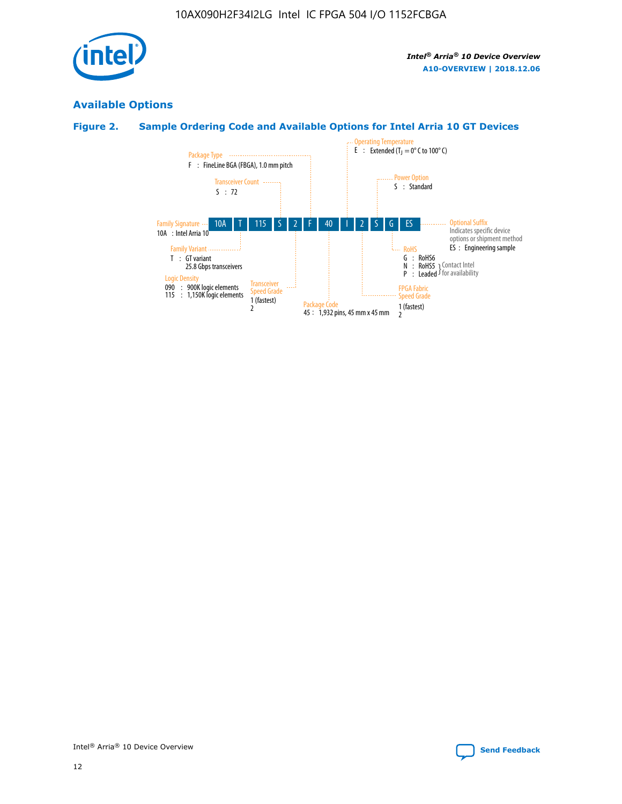

# **Available Options**

## **Figure 2. Sample Ordering Code and Available Options for Intel Arria 10 GT Devices**

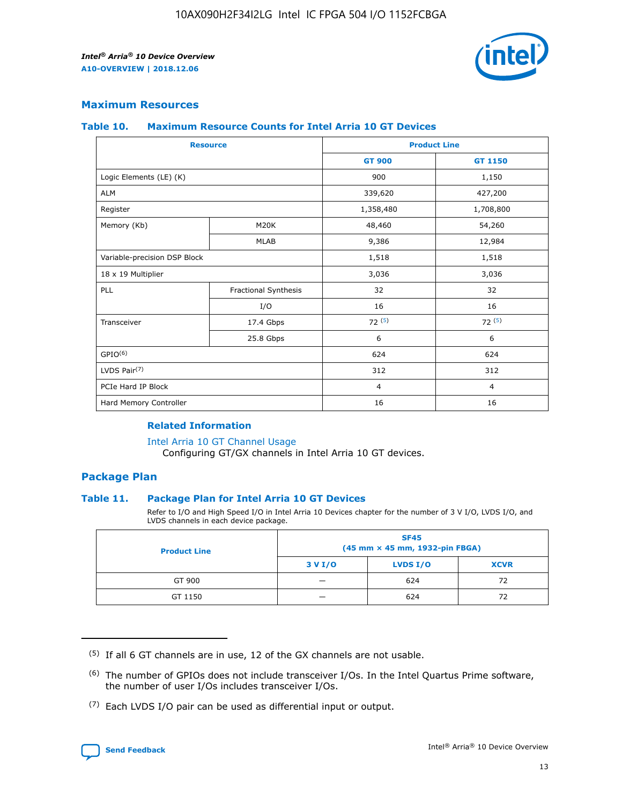

## **Maximum Resources**

#### **Table 10. Maximum Resource Counts for Intel Arria 10 GT Devices**

| <b>Resource</b>              |                      |                | <b>Product Line</b> |  |
|------------------------------|----------------------|----------------|---------------------|--|
|                              |                      | <b>GT 900</b>  | <b>GT 1150</b>      |  |
| Logic Elements (LE) (K)      |                      | 900            | 1,150               |  |
| <b>ALM</b>                   |                      | 339,620        | 427,200             |  |
| Register                     |                      | 1,358,480      | 1,708,800           |  |
| Memory (Kb)                  | M20K                 | 48,460         | 54,260              |  |
|                              | <b>MLAB</b>          | 9,386          | 12,984              |  |
| Variable-precision DSP Block |                      | 1,518          | 1,518               |  |
| 18 x 19 Multiplier           |                      | 3,036          | 3,036               |  |
| PLL                          | Fractional Synthesis | 32             | 32                  |  |
|                              | I/O                  | 16             | 16                  |  |
| Transceiver                  | 17.4 Gbps            | 72(5)          | 72(5)               |  |
|                              | 25.8 Gbps            | 6              | 6                   |  |
| GPIO <sup>(6)</sup>          |                      | 624            | 624                 |  |
| LVDS Pair $(7)$              |                      | 312            | 312                 |  |
| PCIe Hard IP Block           |                      | $\overline{4}$ | $\overline{4}$      |  |
| Hard Memory Controller       |                      | 16             | 16                  |  |

## **Related Information**

#### [Intel Arria 10 GT Channel Usage](https://www.intel.com/content/www/us/en/programmable/documentation/nik1398707230472.html#nik1398707008178)

Configuring GT/GX channels in Intel Arria 10 GT devices.

## **Package Plan**

## **Table 11. Package Plan for Intel Arria 10 GT Devices**

Refer to I/O and High Speed I/O in Intel Arria 10 Devices chapter for the number of 3 V I/O, LVDS I/O, and LVDS channels in each device package.

| <b>Product Line</b> | <b>SF45</b><br>(45 mm × 45 mm, 1932-pin FBGA) |                 |             |  |  |  |
|---------------------|-----------------------------------------------|-----------------|-------------|--|--|--|
|                     | 3 V I/O                                       | <b>LVDS I/O</b> | <b>XCVR</b> |  |  |  |
| GT 900              |                                               | 624             | 72          |  |  |  |
| GT 1150             |                                               | 624             | 72          |  |  |  |

<sup>(7)</sup> Each LVDS I/O pair can be used as differential input or output.



 $(5)$  If all 6 GT channels are in use, 12 of the GX channels are not usable.

<sup>(6)</sup> The number of GPIOs does not include transceiver I/Os. In the Intel Quartus Prime software, the number of user I/Os includes transceiver I/Os.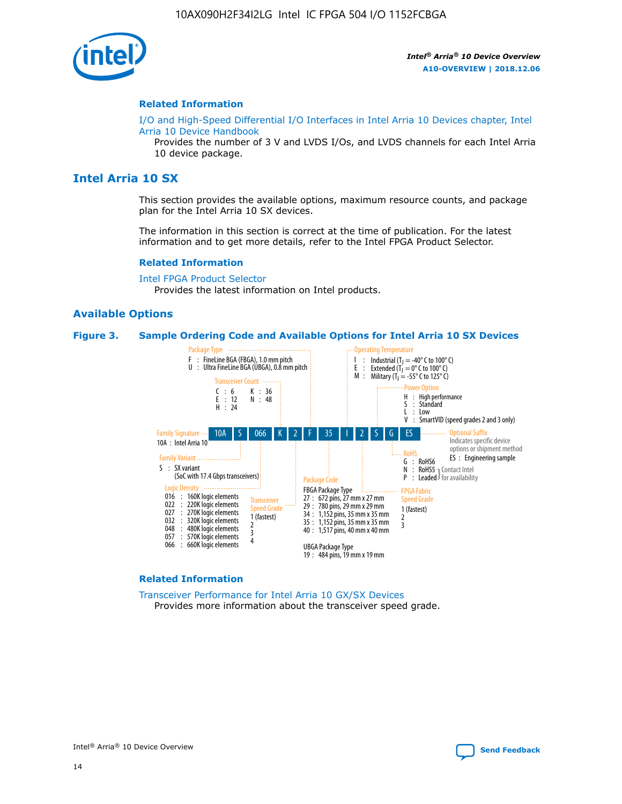

#### **Related Information**

[I/O and High-Speed Differential I/O Interfaces in Intel Arria 10 Devices chapter, Intel](https://www.intel.com/content/www/us/en/programmable/documentation/sam1403482614086.html#sam1403482030321) [Arria 10 Device Handbook](https://www.intel.com/content/www/us/en/programmable/documentation/sam1403482614086.html#sam1403482030321)

Provides the number of 3 V and LVDS I/Os, and LVDS channels for each Intel Arria 10 device package.

## **Intel Arria 10 SX**

This section provides the available options, maximum resource counts, and package plan for the Intel Arria 10 SX devices.

The information in this section is correct at the time of publication. For the latest information and to get more details, refer to the Intel FPGA Product Selector.

#### **Related Information**

[Intel FPGA Product Selector](http://www.altera.com/products/selector/psg-selector.html) Provides the latest information on Intel products.

#### **Available Options**

#### **Figure 3. Sample Ordering Code and Available Options for Intel Arria 10 SX Devices**



#### **Related Information**

[Transceiver Performance for Intel Arria 10 GX/SX Devices](https://www.intel.com/content/www/us/en/programmable/documentation/mcn1413182292568.html#mcn1413213965502) Provides more information about the transceiver speed grade.

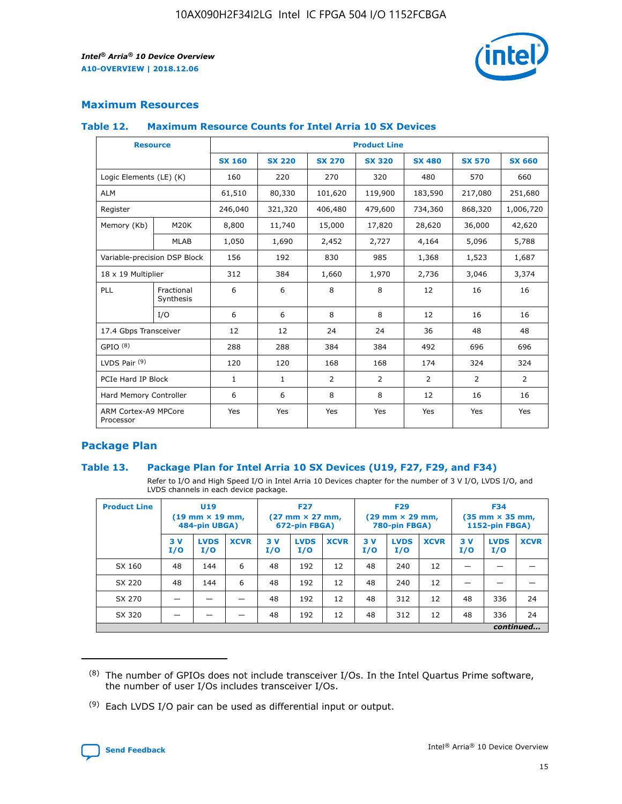

## **Maximum Resources**

#### **Table 12. Maximum Resource Counts for Intel Arria 10 SX Devices**

| <b>Resource</b>                   |                         | <b>Product Line</b> |               |                |                |                |                |                |  |  |  |
|-----------------------------------|-------------------------|---------------------|---------------|----------------|----------------|----------------|----------------|----------------|--|--|--|
|                                   |                         | <b>SX 160</b>       | <b>SX 220</b> | <b>SX 270</b>  | <b>SX 320</b>  | <b>SX 480</b>  | <b>SX 570</b>  | <b>SX 660</b>  |  |  |  |
| Logic Elements (LE) (K)           |                         | 160                 | 220           | 270            | 320            | 480            | 570            | 660            |  |  |  |
| <b>ALM</b>                        |                         | 61,510              | 80,330        | 101,620        | 119,900        | 183,590        | 217,080        | 251,680        |  |  |  |
| Register                          |                         | 246,040             | 321,320       | 406,480        | 479,600        | 734,360        | 868,320        | 1,006,720      |  |  |  |
| Memory (Kb)                       | M <sub>20</sub> K       | 8,800               | 11,740        | 15,000         | 17,820         | 28,620         | 36,000         | 42,620         |  |  |  |
|                                   | <b>MLAB</b>             | 1,050               | 1,690         | 2,452          | 2,727          | 4,164          | 5,096          | 5,788          |  |  |  |
| Variable-precision DSP Block      |                         | 156                 | 192           | 830            | 985            | 1,368          | 1,523          | 1,687          |  |  |  |
| 18 x 19 Multiplier                |                         | 312                 | 384           | 1,660          | 1,970          | 2,736          | 3,046          | 3,374          |  |  |  |
| PLL                               | Fractional<br>Synthesis | 6                   | 6             | 8              | 8              | 12             | 16             | 16             |  |  |  |
|                                   | I/O                     | 6                   | 6             | 8              | 8              | 12             | 16             | 16             |  |  |  |
| 17.4 Gbps Transceiver             |                         | 12                  | 12            | 24             | 24             | 36             | 48             | 48             |  |  |  |
| GPIO <sup>(8)</sup>               |                         | 288                 | 288           | 384            | 384            | 492            | 696            | 696            |  |  |  |
| LVDS Pair $(9)$                   |                         | 120                 | 120           | 168            | 168            | 174            | 324            | 324            |  |  |  |
| PCIe Hard IP Block                |                         | $\mathbf{1}$        | $\mathbf{1}$  | $\overline{2}$ | $\overline{2}$ | $\overline{2}$ | $\overline{2}$ | $\overline{2}$ |  |  |  |
| Hard Memory Controller            |                         | 6                   | 6             | 8              | 8              | 12             | 16             | 16             |  |  |  |
| ARM Cortex-A9 MPCore<br>Processor |                         | Yes                 | Yes           | Yes            | Yes            | Yes            | Yes            | <b>Yes</b>     |  |  |  |

## **Package Plan**

## **Table 13. Package Plan for Intel Arria 10 SX Devices (U19, F27, F29, and F34)**

Refer to I/O and High Speed I/O in Intel Arria 10 Devices chapter for the number of 3 V I/O, LVDS I/O, and LVDS channels in each device package.

| <b>Product Line</b> | U <sub>19</sub><br>$(19 \text{ mm} \times 19 \text{ mm})$<br>484-pin UBGA) |                    | <b>F27</b><br>$(27 \text{ mm} \times 27 \text{ mm})$<br>672-pin FBGA) |           | <b>F29</b><br>$(29 \text{ mm} \times 29 \text{ mm})$<br>780-pin FBGA) |             |            | <b>F34</b><br>$(35 \text{ mm} \times 35 \text{ mm})$<br><b>1152-pin FBGA)</b> |             |           |                    |             |
|---------------------|----------------------------------------------------------------------------|--------------------|-----------------------------------------------------------------------|-----------|-----------------------------------------------------------------------|-------------|------------|-------------------------------------------------------------------------------|-------------|-----------|--------------------|-------------|
|                     | 3V<br>I/O                                                                  | <b>LVDS</b><br>I/O | <b>XCVR</b>                                                           | 3V<br>I/O | <b>LVDS</b><br>I/O                                                    | <b>XCVR</b> | 3 V<br>I/O | <b>LVDS</b><br>I/O                                                            | <b>XCVR</b> | 3V<br>I/O | <b>LVDS</b><br>I/O | <b>XCVR</b> |
| SX 160              | 48                                                                         | 144                | 6                                                                     | 48        | 192                                                                   | 12          | 48         | 240                                                                           | 12          | –         |                    |             |
| SX 220              | 48                                                                         | 144                | 6                                                                     | 48        | 192                                                                   | 12          | 48         | 240                                                                           | 12          |           |                    |             |
| SX 270              |                                                                            |                    |                                                                       | 48        | 192                                                                   | 12          | 48         | 312                                                                           | 12          | 48        | 336                | 24          |
| SX 320              |                                                                            |                    |                                                                       | 48        | 192                                                                   | 12          | 48         | 312                                                                           | 12          | 48        | 336                | 24          |
|                     | continued                                                                  |                    |                                                                       |           |                                                                       |             |            |                                                                               |             |           |                    |             |

 $(8)$  The number of GPIOs does not include transceiver I/Os. In the Intel Quartus Prime software, the number of user I/Os includes transceiver I/Os.

 $(9)$  Each LVDS I/O pair can be used as differential input or output.

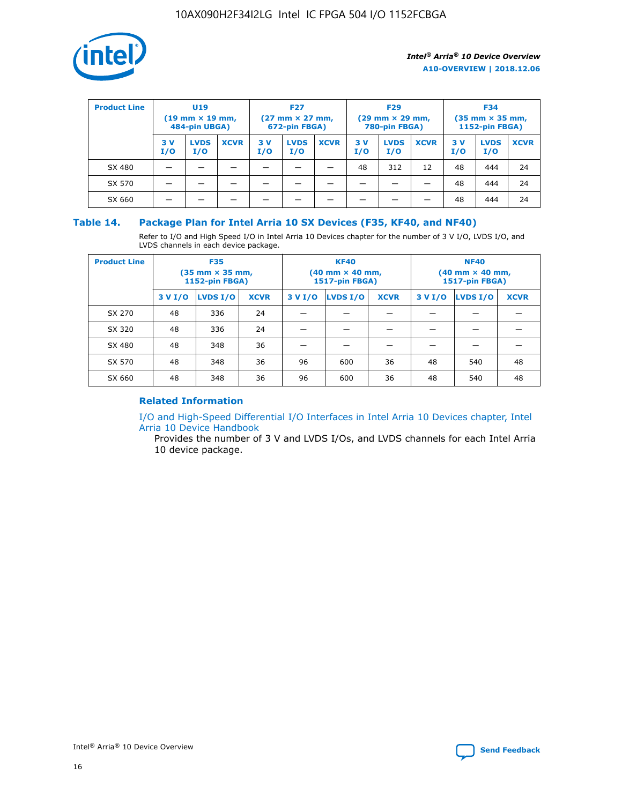

| <b>Product Line</b> | U <sub>19</sub><br>$(19 \text{ mm} \times 19 \text{ mm})$<br>484-pin UBGA) |                    | <b>F27</b><br>$(27 \text{ mm} \times 27 \text{ mm})$<br>672-pin FBGA) |            | <b>F29</b><br>$(29 \text{ mm} \times 29 \text{ mm})$<br>780-pin FBGA) |             |           | <b>F34</b><br>$(35 \text{ mm} \times 35 \text{ mm})$<br><b>1152-pin FBGA)</b> |             |           |                    |             |
|---------------------|----------------------------------------------------------------------------|--------------------|-----------------------------------------------------------------------|------------|-----------------------------------------------------------------------|-------------|-----------|-------------------------------------------------------------------------------|-------------|-----------|--------------------|-------------|
|                     | 3 V<br>I/O                                                                 | <b>LVDS</b><br>I/O | <b>XCVR</b>                                                           | 3 V<br>I/O | <b>LVDS</b><br>I/O                                                    | <b>XCVR</b> | 3V<br>I/O | <b>LVDS</b><br>I/O                                                            | <b>XCVR</b> | 3V<br>I/O | <b>LVDS</b><br>I/O | <b>XCVR</b> |
| SX 480              |                                                                            |                    |                                                                       |            |                                                                       |             | 48        | 312                                                                           | 12          | 48        | 444                | 24          |
| SX 570              |                                                                            |                    |                                                                       |            |                                                                       |             |           |                                                                               |             | 48        | 444                | 24          |
| SX 660              |                                                                            |                    |                                                                       |            |                                                                       |             |           |                                                                               |             | 48        | 444                | 24          |

## **Table 14. Package Plan for Intel Arria 10 SX Devices (F35, KF40, and NF40)**

Refer to I/O and High Speed I/O in Intel Arria 10 Devices chapter for the number of 3 V I/O, LVDS I/O, and LVDS channels in each device package.

| <b>Product Line</b> | <b>F35</b><br>$(35 \text{ mm} \times 35 \text{ mm})$<br><b>1152-pin FBGA)</b> |          |             |                                           | <b>KF40</b><br>(40 mm × 40 mm,<br>1517-pin FBGA) |    | <b>NF40</b><br>$(40 \text{ mm} \times 40 \text{ mm})$<br>1517-pin FBGA) |          |             |  |
|---------------------|-------------------------------------------------------------------------------|----------|-------------|-------------------------------------------|--------------------------------------------------|----|-------------------------------------------------------------------------|----------|-------------|--|
|                     | 3 V I/O                                                                       | LVDS I/O | <b>XCVR</b> | <b>LVDS I/O</b><br><b>XCVR</b><br>3 V I/O |                                                  |    | 3 V I/O                                                                 | LVDS I/O | <b>XCVR</b> |  |
| SX 270              | 48                                                                            | 336      | 24          |                                           |                                                  |    |                                                                         |          |             |  |
| SX 320              | 48                                                                            | 336      | 24          |                                           |                                                  |    |                                                                         |          |             |  |
| SX 480              | 48                                                                            | 348      | 36          |                                           |                                                  |    |                                                                         |          |             |  |
| SX 570              | 48                                                                            | 348      | 36          | 96                                        | 600                                              | 36 | 48                                                                      | 540      | 48          |  |
| SX 660              | 48                                                                            | 348      | 36          | 96                                        | 600                                              | 36 | 48                                                                      | 540      | 48          |  |

## **Related Information**

[I/O and High-Speed Differential I/O Interfaces in Intel Arria 10 Devices chapter, Intel](https://www.intel.com/content/www/us/en/programmable/documentation/sam1403482614086.html#sam1403482030321) [Arria 10 Device Handbook](https://www.intel.com/content/www/us/en/programmable/documentation/sam1403482614086.html#sam1403482030321)

Provides the number of 3 V and LVDS I/Os, and LVDS channels for each Intel Arria 10 device package.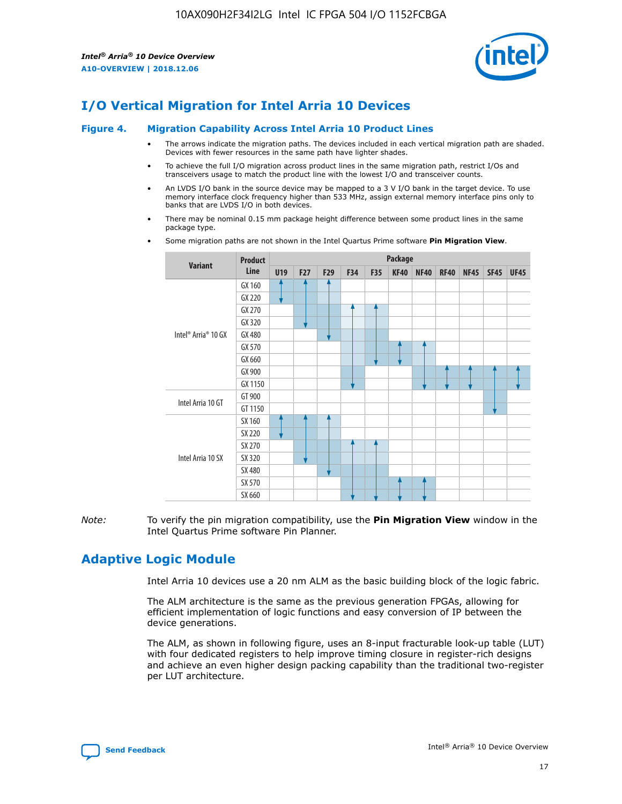

# **I/O Vertical Migration for Intel Arria 10 Devices**

#### **Figure 4. Migration Capability Across Intel Arria 10 Product Lines**

- The arrows indicate the migration paths. The devices included in each vertical migration path are shaded. Devices with fewer resources in the same path have lighter shades.
- To achieve the full I/O migration across product lines in the same migration path, restrict I/Os and transceivers usage to match the product line with the lowest I/O and transceiver counts.
- An LVDS I/O bank in the source device may be mapped to a 3 V I/O bank in the target device. To use memory interface clock frequency higher than 533 MHz, assign external memory interface pins only to banks that are LVDS I/O in both devices.
- There may be nominal 0.15 mm package height difference between some product lines in the same package type.
	- **Variant Product Line Package U19 F27 F29 F34 F35 KF40 NF40 RF40 NF45 SF45 UF45** Intel® Arria® 10 GX GX 160 GX 220 GX 270 GX 320 GX 480 GX 570 GX 660 GX 900 GX 1150 Intel Arria 10 GT GT 900 GT 1150 Intel Arria 10 SX SX 160 SX 220 SX 270 SX 320 SX 480 SX 570 SX 660
- Some migration paths are not shown in the Intel Quartus Prime software **Pin Migration View**.

*Note:* To verify the pin migration compatibility, use the **Pin Migration View** window in the Intel Quartus Prime software Pin Planner.

# **Adaptive Logic Module**

Intel Arria 10 devices use a 20 nm ALM as the basic building block of the logic fabric.

The ALM architecture is the same as the previous generation FPGAs, allowing for efficient implementation of logic functions and easy conversion of IP between the device generations.

The ALM, as shown in following figure, uses an 8-input fracturable look-up table (LUT) with four dedicated registers to help improve timing closure in register-rich designs and achieve an even higher design packing capability than the traditional two-register per LUT architecture.

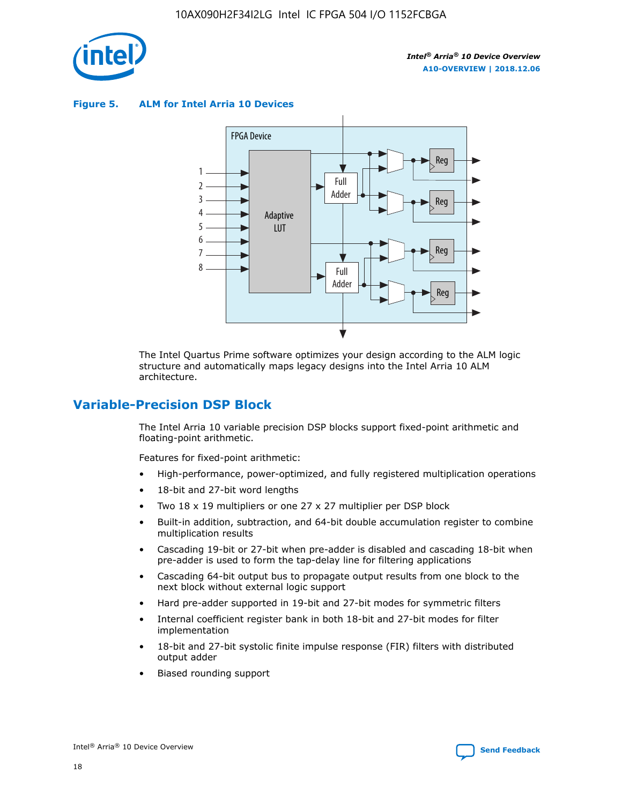

**Figure 5. ALM for Intel Arria 10 Devices**



The Intel Quartus Prime software optimizes your design according to the ALM logic structure and automatically maps legacy designs into the Intel Arria 10 ALM architecture.

# **Variable-Precision DSP Block**

The Intel Arria 10 variable precision DSP blocks support fixed-point arithmetic and floating-point arithmetic.

Features for fixed-point arithmetic:

- High-performance, power-optimized, and fully registered multiplication operations
- 18-bit and 27-bit word lengths
- Two 18 x 19 multipliers or one 27 x 27 multiplier per DSP block
- Built-in addition, subtraction, and 64-bit double accumulation register to combine multiplication results
- Cascading 19-bit or 27-bit when pre-adder is disabled and cascading 18-bit when pre-adder is used to form the tap-delay line for filtering applications
- Cascading 64-bit output bus to propagate output results from one block to the next block without external logic support
- Hard pre-adder supported in 19-bit and 27-bit modes for symmetric filters
- Internal coefficient register bank in both 18-bit and 27-bit modes for filter implementation
- 18-bit and 27-bit systolic finite impulse response (FIR) filters with distributed output adder
- Biased rounding support

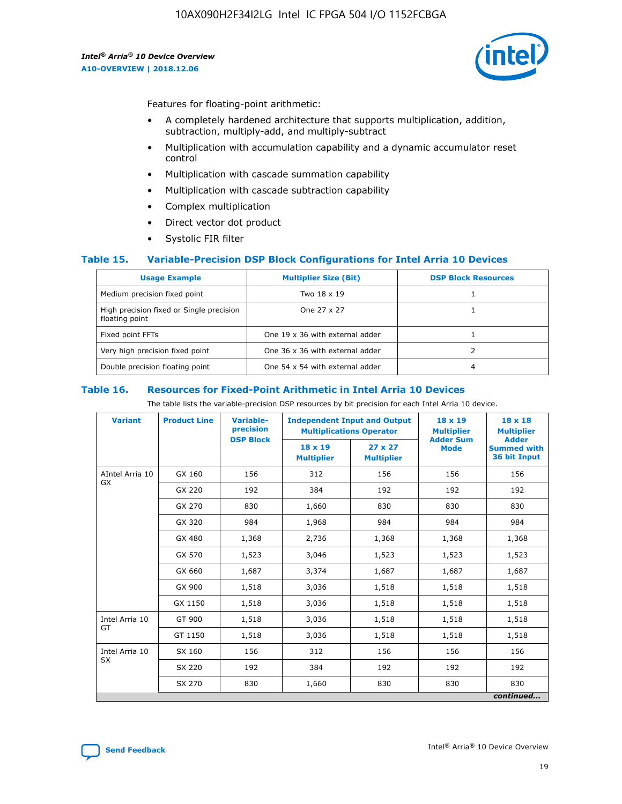

Features for floating-point arithmetic:

- A completely hardened architecture that supports multiplication, addition, subtraction, multiply-add, and multiply-subtract
- Multiplication with accumulation capability and a dynamic accumulator reset control
- Multiplication with cascade summation capability
- Multiplication with cascade subtraction capability
- Complex multiplication
- Direct vector dot product
- Systolic FIR filter

## **Table 15. Variable-Precision DSP Block Configurations for Intel Arria 10 Devices**

| <b>Usage Example</b>                                       | <b>Multiplier Size (Bit)</b>    | <b>DSP Block Resources</b> |
|------------------------------------------------------------|---------------------------------|----------------------------|
| Medium precision fixed point                               | Two 18 x 19                     |                            |
| High precision fixed or Single precision<br>floating point | One 27 x 27                     |                            |
| Fixed point FFTs                                           | One 19 x 36 with external adder |                            |
| Very high precision fixed point                            | One 36 x 36 with external adder |                            |
| Double precision floating point                            | One 54 x 54 with external adder | 4                          |

#### **Table 16. Resources for Fixed-Point Arithmetic in Intel Arria 10 Devices**

The table lists the variable-precision DSP resources by bit precision for each Intel Arria 10 device.

| <b>Variant</b>  | <b>Product Line</b> | <b>Variable-</b><br>precision<br><b>DSP Block</b> | <b>Independent Input and Output</b><br><b>Multiplications Operator</b> |                                     | 18 x 19<br><b>Multiplier</b><br><b>Adder Sum</b> | $18 \times 18$<br><b>Multiplier</b><br><b>Adder</b> |
|-----------------|---------------------|---------------------------------------------------|------------------------------------------------------------------------|-------------------------------------|--------------------------------------------------|-----------------------------------------------------|
|                 |                     |                                                   | 18 x 19<br><b>Multiplier</b>                                           | $27 \times 27$<br><b>Multiplier</b> | <b>Mode</b>                                      | <b>Summed with</b><br>36 bit Input                  |
| AIntel Arria 10 | GX 160              | 156                                               | 312                                                                    | 156                                 | 156                                              | 156                                                 |
| GX              | GX 220              | 192                                               | 384                                                                    | 192                                 | 192                                              | 192                                                 |
|                 | GX 270              | 830                                               | 1,660                                                                  | 830                                 | 830                                              | 830                                                 |
|                 | GX 320              | 984                                               | 1,968                                                                  | 984                                 | 984                                              | 984                                                 |
|                 | GX 480              | 1,368                                             | 2,736                                                                  | 1,368                               | 1,368                                            | 1,368                                               |
|                 | GX 570              | 1,523                                             | 3,046                                                                  | 1,523                               | 1,523                                            | 1,523                                               |
|                 | GX 660              | 1,687                                             | 3,374                                                                  | 1,687                               | 1,687                                            | 1,687                                               |
|                 | GX 900              | 1,518                                             | 3,036                                                                  | 1,518                               | 1,518                                            | 1,518                                               |
|                 | GX 1150             | 1,518                                             | 3,036                                                                  | 1,518                               | 1,518                                            | 1,518                                               |
| Intel Arria 10  | GT 900              | 1,518                                             | 3,036                                                                  | 1,518                               | 1,518                                            | 1,518                                               |
| GT              | GT 1150             | 1,518                                             | 3,036                                                                  | 1,518                               | 1,518                                            | 1,518                                               |
| Intel Arria 10  | SX 160              | 156                                               | 312                                                                    | 156                                 | 156                                              | 156                                                 |
| <b>SX</b>       | SX 220              | 192                                               | 384                                                                    | 192                                 | 192                                              | 192                                                 |
|                 | SX 270              | 830                                               | 1,660                                                                  | 830                                 | 830                                              | 830                                                 |
|                 |                     |                                                   |                                                                        |                                     |                                                  | continued                                           |

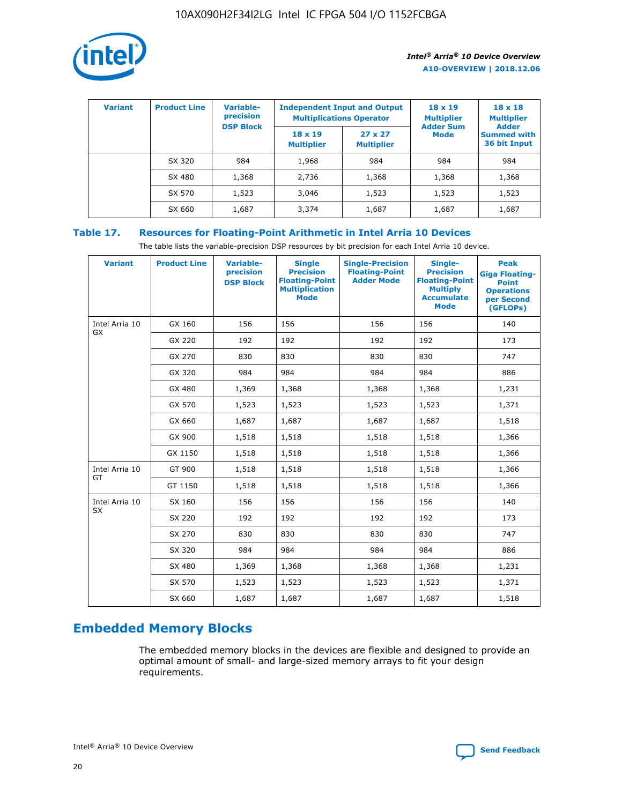

| <b>Variant</b> | <b>Product Line</b> | <b>Variable-</b><br>precision<br><b>DSP Block</b> | <b>Independent Input and Output</b><br><b>Multiplications Operator</b> |                                     | $18 \times 19$<br><b>Multiplier</b><br><b>Adder Sum</b> | $18 \times 18$<br><b>Multiplier</b><br><b>Adder</b> |  |
|----------------|---------------------|---------------------------------------------------|------------------------------------------------------------------------|-------------------------------------|---------------------------------------------------------|-----------------------------------------------------|--|
|                |                     |                                                   | $18 \times 19$<br><b>Multiplier</b>                                    | $27 \times 27$<br><b>Multiplier</b> | <b>Mode</b>                                             | <b>Summed with</b><br>36 bit Input                  |  |
|                | SX 320              | 984                                               | 1,968                                                                  | 984                                 | 984                                                     | 984                                                 |  |
|                | SX 480              | 1,368                                             | 2,736                                                                  | 1,368                               | 1,368                                                   | 1,368                                               |  |
|                | SX 570              | 1,523                                             | 3,046                                                                  | 1,523                               | 1,523                                                   | 1,523                                               |  |
|                | SX 660              | 1,687                                             | 3,374                                                                  | 1,687                               | 1,687                                                   | 1,687                                               |  |

## **Table 17. Resources for Floating-Point Arithmetic in Intel Arria 10 Devices**

The table lists the variable-precision DSP resources by bit precision for each Intel Arria 10 device.

| <b>Variant</b> | <b>Product Line</b> | <b>Variable-</b><br>precision<br><b>DSP Block</b> | <b>Single</b><br><b>Precision</b><br><b>Floating-Point</b><br><b>Multiplication</b><br><b>Mode</b> | <b>Single-Precision</b><br><b>Floating-Point</b><br><b>Adder Mode</b> | Single-<br><b>Precision</b><br><b>Floating-Point</b><br><b>Multiply</b><br><b>Accumulate</b><br><b>Mode</b> | <b>Peak</b><br><b>Giga Floating-</b><br><b>Point</b><br><b>Operations</b><br>per Second<br>(GFLOPs) |
|----------------|---------------------|---------------------------------------------------|----------------------------------------------------------------------------------------------------|-----------------------------------------------------------------------|-------------------------------------------------------------------------------------------------------------|-----------------------------------------------------------------------------------------------------|
| Intel Arria 10 | GX 160              | 156                                               | 156                                                                                                | 156                                                                   | 156                                                                                                         | 140                                                                                                 |
| <b>GX</b>      | GX 220              | 192                                               | 192                                                                                                | 192                                                                   | 192                                                                                                         | 173                                                                                                 |
|                | GX 270              | 830                                               | 830                                                                                                | 830                                                                   | 830                                                                                                         | 747                                                                                                 |
|                | GX 320              | 984                                               | 984                                                                                                | 984                                                                   | 984                                                                                                         | 886                                                                                                 |
|                | GX 480              | 1,369                                             | 1,368                                                                                              | 1,368                                                                 | 1,368                                                                                                       | 1,231                                                                                               |
|                | GX 570              | 1,523                                             | 1,523                                                                                              | 1,523                                                                 | 1,523                                                                                                       | 1,371                                                                                               |
|                | GX 660              | 1,687                                             | 1,687                                                                                              | 1,687                                                                 | 1,687                                                                                                       | 1,518                                                                                               |
|                | GX 900              | 1,518                                             | 1,518                                                                                              | 1,518                                                                 | 1,518                                                                                                       | 1,366                                                                                               |
|                | GX 1150             | 1,518                                             | 1,518                                                                                              | 1,518                                                                 | 1,518                                                                                                       | 1,366                                                                                               |
| Intel Arria 10 | GT 900              | 1,518                                             | 1,518                                                                                              | 1,518                                                                 | 1,518                                                                                                       | 1,366                                                                                               |
| GT             | GT 1150             | 1,518                                             | 1,518                                                                                              | 1,518                                                                 | 1,518                                                                                                       | 1,366                                                                                               |
| Intel Arria 10 | SX 160              | 156                                               | 156                                                                                                | 156                                                                   | 156                                                                                                         | 140                                                                                                 |
| SX             | SX 220              | 192                                               | 192                                                                                                | 192                                                                   | 192                                                                                                         | 173                                                                                                 |
|                | SX 270              | 830                                               | 830                                                                                                | 830                                                                   | 830                                                                                                         | 747                                                                                                 |
|                | SX 320              | 984                                               | 984                                                                                                | 984                                                                   | 984                                                                                                         | 886                                                                                                 |
|                | SX 480              | 1,369                                             | 1,368                                                                                              | 1,368                                                                 | 1,368                                                                                                       | 1,231                                                                                               |
|                | SX 570              | 1,523                                             | 1,523                                                                                              | 1,523                                                                 | 1,523                                                                                                       | 1,371                                                                                               |
|                | SX 660              | 1,687                                             | 1,687                                                                                              | 1,687                                                                 | 1,687                                                                                                       | 1,518                                                                                               |

# **Embedded Memory Blocks**

The embedded memory blocks in the devices are flexible and designed to provide an optimal amount of small- and large-sized memory arrays to fit your design requirements.

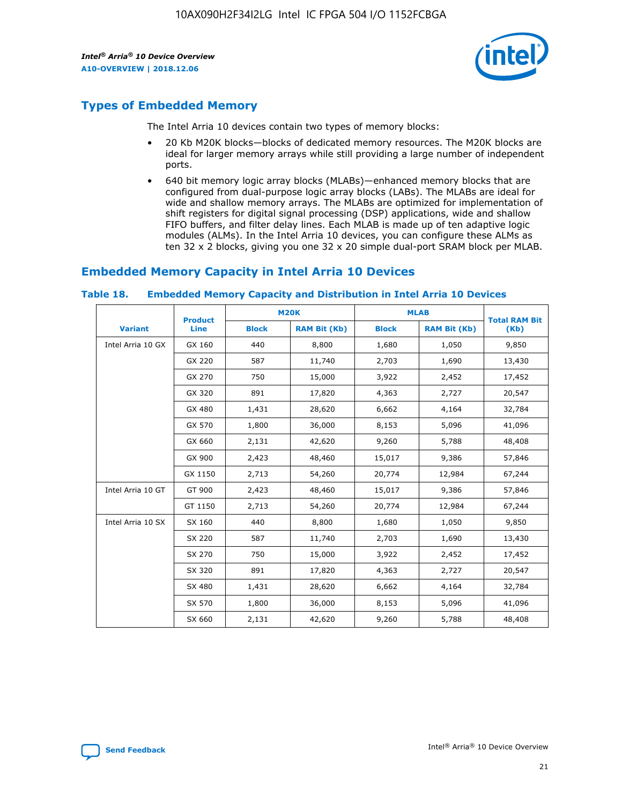

# **Types of Embedded Memory**

The Intel Arria 10 devices contain two types of memory blocks:

- 20 Kb M20K blocks—blocks of dedicated memory resources. The M20K blocks are ideal for larger memory arrays while still providing a large number of independent ports.
- 640 bit memory logic array blocks (MLABs)—enhanced memory blocks that are configured from dual-purpose logic array blocks (LABs). The MLABs are ideal for wide and shallow memory arrays. The MLABs are optimized for implementation of shift registers for digital signal processing (DSP) applications, wide and shallow FIFO buffers, and filter delay lines. Each MLAB is made up of ten adaptive logic modules (ALMs). In the Intel Arria 10 devices, you can configure these ALMs as ten 32 x 2 blocks, giving you one 32 x 20 simple dual-port SRAM block per MLAB.

## **Embedded Memory Capacity in Intel Arria 10 Devices**

|                   | <b>Product</b> |              | <b>M20K</b>         | <b>MLAB</b>  |                     | <b>Total RAM Bit</b> |
|-------------------|----------------|--------------|---------------------|--------------|---------------------|----------------------|
| <b>Variant</b>    | Line           | <b>Block</b> | <b>RAM Bit (Kb)</b> | <b>Block</b> | <b>RAM Bit (Kb)</b> | (Kb)                 |
| Intel Arria 10 GX | GX 160         | 440          | 8,800               | 1,680        | 1,050               | 9,850                |
|                   | GX 220         | 587          | 11,740              | 2,703        | 1,690               | 13,430               |
|                   | GX 270         | 750          | 15,000              | 3,922        | 2,452               | 17,452               |
|                   | GX 320         | 891          | 17,820              | 4,363        | 2,727               | 20,547               |
|                   | GX 480         | 1,431        | 28,620              | 6,662        | 4,164               | 32,784               |
|                   | GX 570         | 1,800        | 36,000              | 8,153        | 5,096               | 41,096               |
|                   | GX 660         | 2,131        | 42,620              | 9,260        | 5,788               | 48,408               |
|                   | GX 900         | 2,423        | 48,460              | 15,017       | 9,386               | 57,846               |
|                   | GX 1150        | 2,713        | 54,260              | 20,774       | 12,984              | 67,244               |
| Intel Arria 10 GT | GT 900         | 2,423        | 48,460              | 15,017       | 9,386               | 57,846               |
|                   | GT 1150        | 2,713        | 54,260              | 20,774       | 12,984              | 67,244               |
| Intel Arria 10 SX | SX 160         | 440          | 8,800               | 1,680        | 1,050               | 9,850                |
|                   | SX 220         | 587          | 11,740              | 2,703        | 1,690               | 13,430               |
|                   | SX 270         | 750          | 15,000              | 3,922        | 2,452               | 17,452               |
|                   | SX 320         | 891          | 17,820              | 4,363        | 2,727               | 20,547               |
|                   | SX 480         | 1,431        | 28,620              | 6,662        | 4,164               | 32,784               |
|                   | SX 570         | 1,800        | 36,000              | 8,153        | 5,096               | 41,096               |
|                   | SX 660         | 2,131        | 42,620              | 9,260        | 5,788               | 48,408               |

#### **Table 18. Embedded Memory Capacity and Distribution in Intel Arria 10 Devices**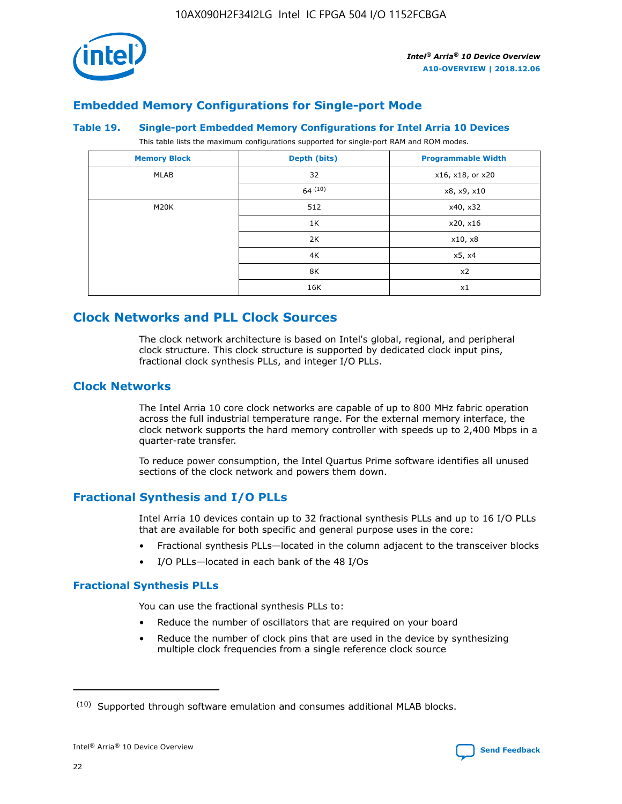

# **Embedded Memory Configurations for Single-port Mode**

#### **Table 19. Single-port Embedded Memory Configurations for Intel Arria 10 Devices**

This table lists the maximum configurations supported for single-port RAM and ROM modes.

| <b>Memory Block</b> | Depth (bits) | <b>Programmable Width</b> |
|---------------------|--------------|---------------------------|
| MLAB                | 32           | x16, x18, or x20          |
|                     | 64(10)       | x8, x9, x10               |
| M20K                | 512          | x40, x32                  |
|                     | 1K           | x20, x16                  |
|                     | 2K           | x10, x8                   |
|                     | 4K           | x5, x4                    |
|                     | 8K           | x2                        |
|                     | 16K          | x1                        |

# **Clock Networks and PLL Clock Sources**

The clock network architecture is based on Intel's global, regional, and peripheral clock structure. This clock structure is supported by dedicated clock input pins, fractional clock synthesis PLLs, and integer I/O PLLs.

## **Clock Networks**

The Intel Arria 10 core clock networks are capable of up to 800 MHz fabric operation across the full industrial temperature range. For the external memory interface, the clock network supports the hard memory controller with speeds up to 2,400 Mbps in a quarter-rate transfer.

To reduce power consumption, the Intel Quartus Prime software identifies all unused sections of the clock network and powers them down.

## **Fractional Synthesis and I/O PLLs**

Intel Arria 10 devices contain up to 32 fractional synthesis PLLs and up to 16 I/O PLLs that are available for both specific and general purpose uses in the core:

- Fractional synthesis PLLs—located in the column adjacent to the transceiver blocks
- I/O PLLs—located in each bank of the 48 I/Os

## **Fractional Synthesis PLLs**

You can use the fractional synthesis PLLs to:

- Reduce the number of oscillators that are required on your board
- Reduce the number of clock pins that are used in the device by synthesizing multiple clock frequencies from a single reference clock source

<sup>(10)</sup> Supported through software emulation and consumes additional MLAB blocks.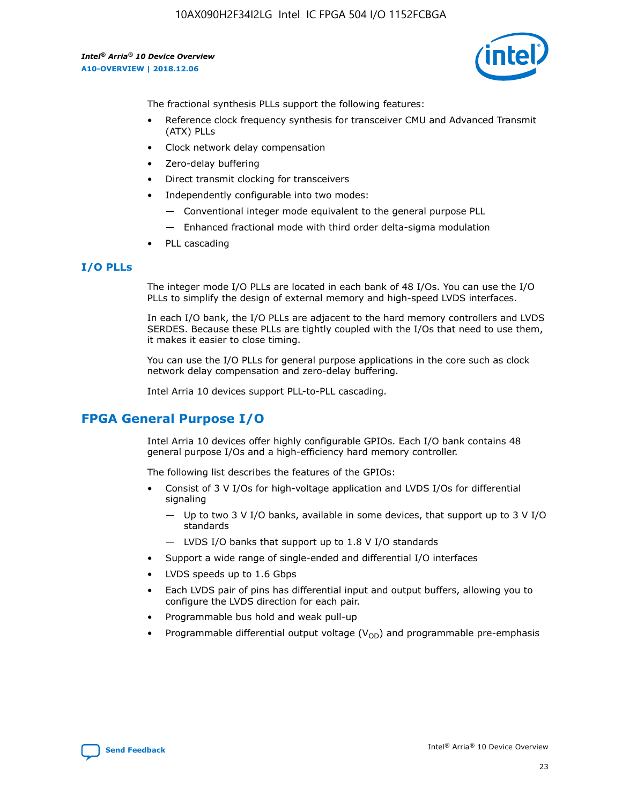

The fractional synthesis PLLs support the following features:

- Reference clock frequency synthesis for transceiver CMU and Advanced Transmit (ATX) PLLs
- Clock network delay compensation
- Zero-delay buffering
- Direct transmit clocking for transceivers
- Independently configurable into two modes:
	- Conventional integer mode equivalent to the general purpose PLL
	- Enhanced fractional mode with third order delta-sigma modulation
- PLL cascading

## **I/O PLLs**

The integer mode I/O PLLs are located in each bank of 48 I/Os. You can use the I/O PLLs to simplify the design of external memory and high-speed LVDS interfaces.

In each I/O bank, the I/O PLLs are adjacent to the hard memory controllers and LVDS SERDES. Because these PLLs are tightly coupled with the I/Os that need to use them, it makes it easier to close timing.

You can use the I/O PLLs for general purpose applications in the core such as clock network delay compensation and zero-delay buffering.

Intel Arria 10 devices support PLL-to-PLL cascading.

# **FPGA General Purpose I/O**

Intel Arria 10 devices offer highly configurable GPIOs. Each I/O bank contains 48 general purpose I/Os and a high-efficiency hard memory controller.

The following list describes the features of the GPIOs:

- Consist of 3 V I/Os for high-voltage application and LVDS I/Os for differential signaling
	- Up to two 3 V I/O banks, available in some devices, that support up to 3 V I/O standards
	- LVDS I/O banks that support up to 1.8 V I/O standards
- Support a wide range of single-ended and differential I/O interfaces
- LVDS speeds up to 1.6 Gbps
- Each LVDS pair of pins has differential input and output buffers, allowing you to configure the LVDS direction for each pair.
- Programmable bus hold and weak pull-up
- Programmable differential output voltage  $(V_{OD})$  and programmable pre-emphasis

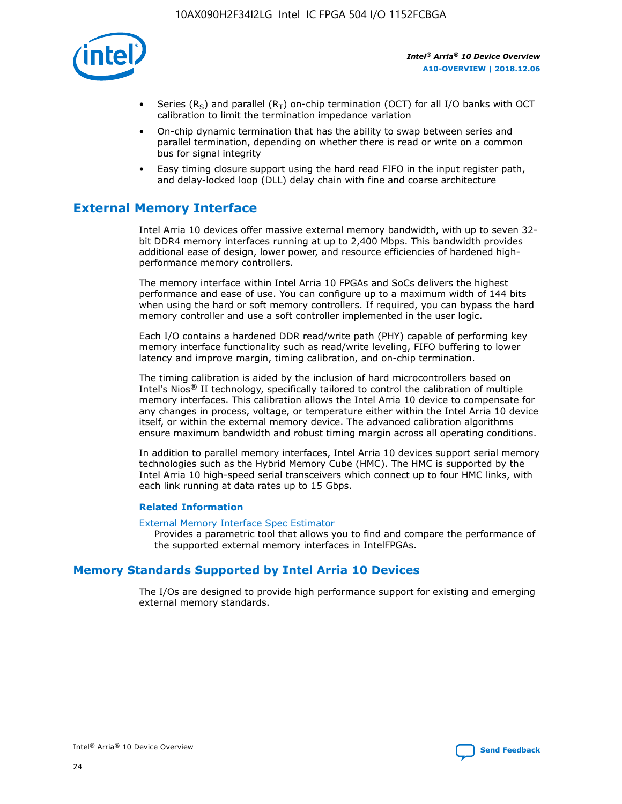

- Series (R<sub>S</sub>) and parallel (R<sub>T</sub>) on-chip termination (OCT) for all I/O banks with OCT calibration to limit the termination impedance variation
- On-chip dynamic termination that has the ability to swap between series and parallel termination, depending on whether there is read or write on a common bus for signal integrity
- Easy timing closure support using the hard read FIFO in the input register path, and delay-locked loop (DLL) delay chain with fine and coarse architecture

# **External Memory Interface**

Intel Arria 10 devices offer massive external memory bandwidth, with up to seven 32 bit DDR4 memory interfaces running at up to 2,400 Mbps. This bandwidth provides additional ease of design, lower power, and resource efficiencies of hardened highperformance memory controllers.

The memory interface within Intel Arria 10 FPGAs and SoCs delivers the highest performance and ease of use. You can configure up to a maximum width of 144 bits when using the hard or soft memory controllers. If required, you can bypass the hard memory controller and use a soft controller implemented in the user logic.

Each I/O contains a hardened DDR read/write path (PHY) capable of performing key memory interface functionality such as read/write leveling, FIFO buffering to lower latency and improve margin, timing calibration, and on-chip termination.

The timing calibration is aided by the inclusion of hard microcontrollers based on Intel's Nios® II technology, specifically tailored to control the calibration of multiple memory interfaces. This calibration allows the Intel Arria 10 device to compensate for any changes in process, voltage, or temperature either within the Intel Arria 10 device itself, or within the external memory device. The advanced calibration algorithms ensure maximum bandwidth and robust timing margin across all operating conditions.

In addition to parallel memory interfaces, Intel Arria 10 devices support serial memory technologies such as the Hybrid Memory Cube (HMC). The HMC is supported by the Intel Arria 10 high-speed serial transceivers which connect up to four HMC links, with each link running at data rates up to 15 Gbps.

## **Related Information**

#### [External Memory Interface Spec Estimator](http://www.altera.com/technology/memory/estimator/mem-emif-index.html)

Provides a parametric tool that allows you to find and compare the performance of the supported external memory interfaces in IntelFPGAs.

## **Memory Standards Supported by Intel Arria 10 Devices**

The I/Os are designed to provide high performance support for existing and emerging external memory standards.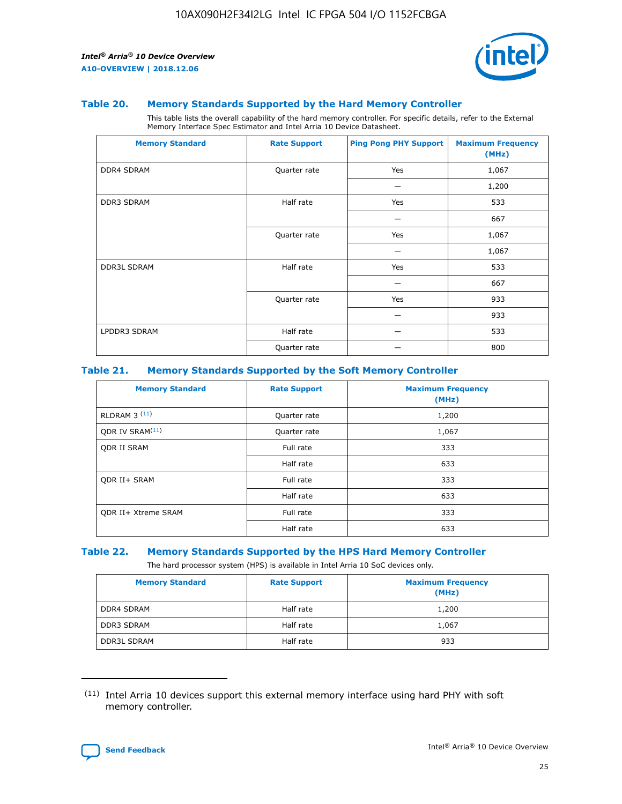

#### **Table 20. Memory Standards Supported by the Hard Memory Controller**

This table lists the overall capability of the hard memory controller. For specific details, refer to the External Memory Interface Spec Estimator and Intel Arria 10 Device Datasheet.

| <b>Memory Standard</b> | <b>Rate Support</b> | <b>Ping Pong PHY Support</b> | <b>Maximum Frequency</b><br>(MHz) |
|------------------------|---------------------|------------------------------|-----------------------------------|
| <b>DDR4 SDRAM</b>      | Quarter rate        | Yes                          | 1,067                             |
|                        |                     |                              | 1,200                             |
| DDR3 SDRAM             | Half rate           | Yes                          | 533                               |
|                        |                     |                              | 667                               |
|                        | Quarter rate        | Yes                          | 1,067                             |
|                        |                     |                              | 1,067                             |
| <b>DDR3L SDRAM</b>     | Half rate           | Yes                          | 533                               |
|                        |                     |                              | 667                               |
|                        | Quarter rate        | Yes                          | 933                               |
|                        |                     |                              | 933                               |
| LPDDR3 SDRAM           | Half rate           |                              | 533                               |
|                        | Quarter rate        |                              | 800                               |

## **Table 21. Memory Standards Supported by the Soft Memory Controller**

| <b>Memory Standard</b>      | <b>Rate Support</b> | <b>Maximum Frequency</b><br>(MHz) |
|-----------------------------|---------------------|-----------------------------------|
| <b>RLDRAM 3 (11)</b>        | Quarter rate        | 1,200                             |
| ODR IV SRAM <sup>(11)</sup> | Quarter rate        | 1,067                             |
| <b>ODR II SRAM</b>          | Full rate           | 333                               |
|                             | Half rate           | 633                               |
| <b>ODR II+ SRAM</b>         | Full rate           | 333                               |
|                             | Half rate           | 633                               |
| <b>ODR II+ Xtreme SRAM</b>  | Full rate           | 333                               |
|                             | Half rate           | 633                               |

#### **Table 22. Memory Standards Supported by the HPS Hard Memory Controller**

The hard processor system (HPS) is available in Intel Arria 10 SoC devices only.

| <b>Memory Standard</b> | <b>Rate Support</b> | <b>Maximum Frequency</b><br>(MHz) |
|------------------------|---------------------|-----------------------------------|
| <b>DDR4 SDRAM</b>      | Half rate           | 1,200                             |
| <b>DDR3 SDRAM</b>      | Half rate           | 1,067                             |
| <b>DDR3L SDRAM</b>     | Half rate           | 933                               |

<sup>(11)</sup> Intel Arria 10 devices support this external memory interface using hard PHY with soft memory controller.

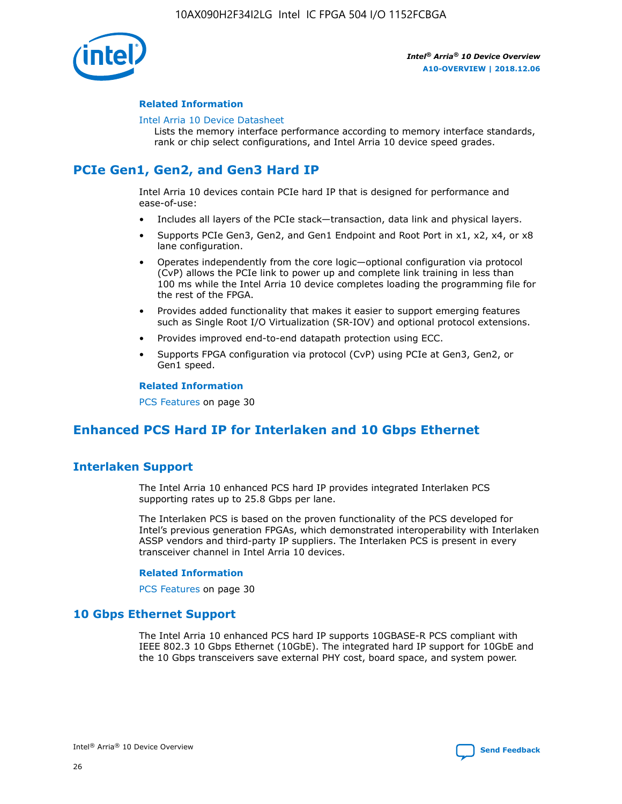

## **Related Information**

#### [Intel Arria 10 Device Datasheet](https://www.intel.com/content/www/us/en/programmable/documentation/mcn1413182292568.html#mcn1413182153340)

Lists the memory interface performance according to memory interface standards, rank or chip select configurations, and Intel Arria 10 device speed grades.

# **PCIe Gen1, Gen2, and Gen3 Hard IP**

Intel Arria 10 devices contain PCIe hard IP that is designed for performance and ease-of-use:

- Includes all layers of the PCIe stack—transaction, data link and physical layers.
- Supports PCIe Gen3, Gen2, and Gen1 Endpoint and Root Port in x1, x2, x4, or x8 lane configuration.
- Operates independently from the core logic—optional configuration via protocol (CvP) allows the PCIe link to power up and complete link training in less than 100 ms while the Intel Arria 10 device completes loading the programming file for the rest of the FPGA.
- Provides added functionality that makes it easier to support emerging features such as Single Root I/O Virtualization (SR-IOV) and optional protocol extensions.
- Provides improved end-to-end datapath protection using ECC.
- Supports FPGA configuration via protocol (CvP) using PCIe at Gen3, Gen2, or Gen1 speed.

#### **Related Information**

PCS Features on page 30

# **Enhanced PCS Hard IP for Interlaken and 10 Gbps Ethernet**

## **Interlaken Support**

The Intel Arria 10 enhanced PCS hard IP provides integrated Interlaken PCS supporting rates up to 25.8 Gbps per lane.

The Interlaken PCS is based on the proven functionality of the PCS developed for Intel's previous generation FPGAs, which demonstrated interoperability with Interlaken ASSP vendors and third-party IP suppliers. The Interlaken PCS is present in every transceiver channel in Intel Arria 10 devices.

## **Related Information**

PCS Features on page 30

## **10 Gbps Ethernet Support**

The Intel Arria 10 enhanced PCS hard IP supports 10GBASE-R PCS compliant with IEEE 802.3 10 Gbps Ethernet (10GbE). The integrated hard IP support for 10GbE and the 10 Gbps transceivers save external PHY cost, board space, and system power.

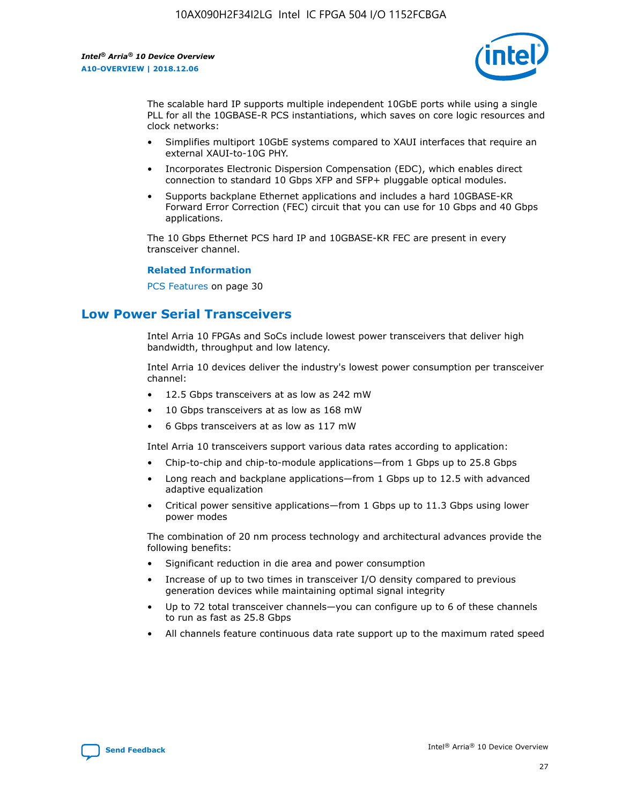

The scalable hard IP supports multiple independent 10GbE ports while using a single PLL for all the 10GBASE-R PCS instantiations, which saves on core logic resources and clock networks:

- Simplifies multiport 10GbE systems compared to XAUI interfaces that require an external XAUI-to-10G PHY.
- Incorporates Electronic Dispersion Compensation (EDC), which enables direct connection to standard 10 Gbps XFP and SFP+ pluggable optical modules.
- Supports backplane Ethernet applications and includes a hard 10GBASE-KR Forward Error Correction (FEC) circuit that you can use for 10 Gbps and 40 Gbps applications.

The 10 Gbps Ethernet PCS hard IP and 10GBASE-KR FEC are present in every transceiver channel.

## **Related Information**

PCS Features on page 30

# **Low Power Serial Transceivers**

Intel Arria 10 FPGAs and SoCs include lowest power transceivers that deliver high bandwidth, throughput and low latency.

Intel Arria 10 devices deliver the industry's lowest power consumption per transceiver channel:

- 12.5 Gbps transceivers at as low as 242 mW
- 10 Gbps transceivers at as low as 168 mW
- 6 Gbps transceivers at as low as 117 mW

Intel Arria 10 transceivers support various data rates according to application:

- Chip-to-chip and chip-to-module applications—from 1 Gbps up to 25.8 Gbps
- Long reach and backplane applications—from 1 Gbps up to 12.5 with advanced adaptive equalization
- Critical power sensitive applications—from 1 Gbps up to 11.3 Gbps using lower power modes

The combination of 20 nm process technology and architectural advances provide the following benefits:

- Significant reduction in die area and power consumption
- Increase of up to two times in transceiver I/O density compared to previous generation devices while maintaining optimal signal integrity
- Up to 72 total transceiver channels—you can configure up to 6 of these channels to run as fast as 25.8 Gbps
- All channels feature continuous data rate support up to the maximum rated speed

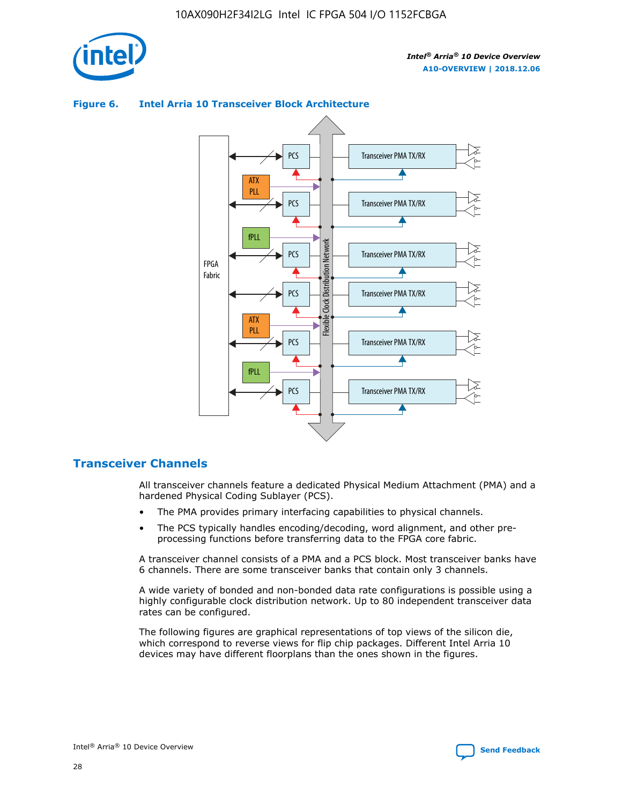



## **Figure 6. Intel Arria 10 Transceiver Block Architecture**

## **Transceiver Channels**

All transceiver channels feature a dedicated Physical Medium Attachment (PMA) and a hardened Physical Coding Sublayer (PCS).

- The PMA provides primary interfacing capabilities to physical channels.
- The PCS typically handles encoding/decoding, word alignment, and other preprocessing functions before transferring data to the FPGA core fabric.

A transceiver channel consists of a PMA and a PCS block. Most transceiver banks have 6 channels. There are some transceiver banks that contain only 3 channels.

A wide variety of bonded and non-bonded data rate configurations is possible using a highly configurable clock distribution network. Up to 80 independent transceiver data rates can be configured.

The following figures are graphical representations of top views of the silicon die, which correspond to reverse views for flip chip packages. Different Intel Arria 10 devices may have different floorplans than the ones shown in the figures.

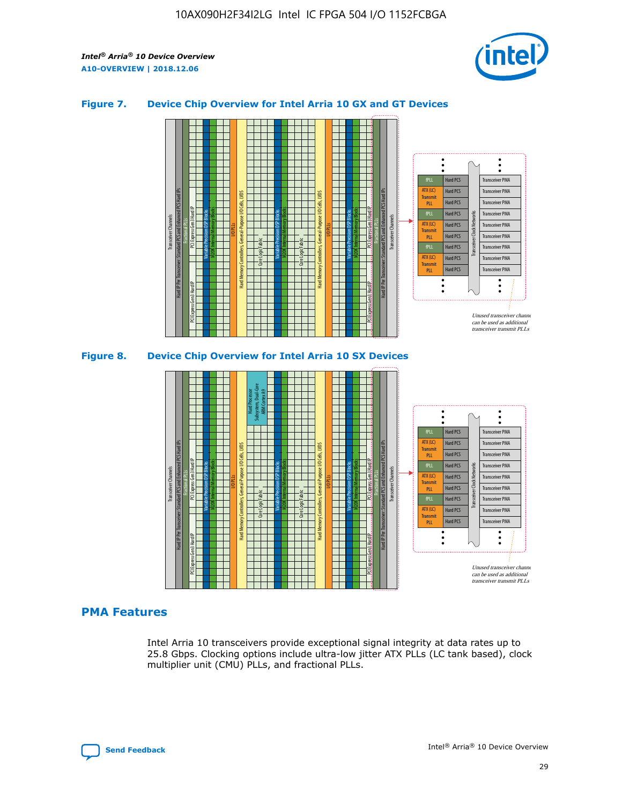

## **Figure 7. Device Chip Overview for Intel Arria 10 GX and GT Devices**



M20K Internal Memory Blocks Core Logic Fabric Transceiver Channels Hard IP Per Transceiver: Standard PCS and Enhanced PCS Hard IPs PCI Express Gen3 Hard IP Fractional PLLs M20K Internal Memory Blocks PCI Express Gen3 Hard IP Variable Precision DSP Blocks I/O PLLs Hard Memory Controllers, General-Purpose I/O Cells, LVDS Hard Processor Subsystem, Dual-Core ARM Cortex A9 M20K Internal Memory Blocks Variable Precision DSP Blocks M20K Internal Memory Blocks Core Logic Fabric I/O PLLs Hard Memory Controllers, General-Purpose I/O Cells, LVDS M20K Internal Memory Blocks Variable Precision DSP Blocks M20K Internal Memory Blocks Transceiver Channels Hard IP Per Transceiver: Standard PCS and Enhanced PCS Hard IPs PCI Express Gen3 Hard IP Fractional PLLs PCI Express Gen3 Hard IP  $\ddot{\cdot}$ Hard PCS Transceiver PMA fPLL ATX (LC) Hard PCS Transceiver PMA **Transmit** Hard PCS Transceiver PMA PLL fPLL Hard PCS Transceiver PMA Transceiver Clock Networks ATX (LC) Hard PCS Transceiver PMA Transmi Hard PCS Transceiver PMA PLL fPLL Hard PCS Transceiver PMA Transceiver PMA Hard PCS ATX (LC) **Transmit** Hard PCS Transceiver PMA PLL Unused transceiver chann can be used as additional transceiver transmit PLLs

## **PMA Features**

Intel Arria 10 transceivers provide exceptional signal integrity at data rates up to 25.8 Gbps. Clocking options include ultra-low jitter ATX PLLs (LC tank based), clock multiplier unit (CMU) PLLs, and fractional PLLs.

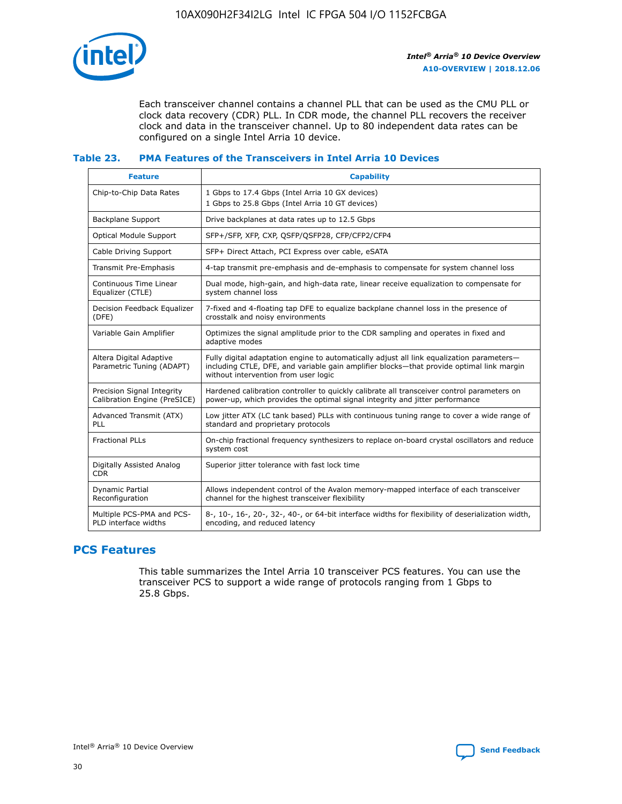

Each transceiver channel contains a channel PLL that can be used as the CMU PLL or clock data recovery (CDR) PLL. In CDR mode, the channel PLL recovers the receiver clock and data in the transceiver channel. Up to 80 independent data rates can be configured on a single Intel Arria 10 device.

## **Table 23. PMA Features of the Transceivers in Intel Arria 10 Devices**

| <b>Feature</b>                                             | <b>Capability</b>                                                                                                                                                                                                             |
|------------------------------------------------------------|-------------------------------------------------------------------------------------------------------------------------------------------------------------------------------------------------------------------------------|
| Chip-to-Chip Data Rates                                    | 1 Gbps to 17.4 Gbps (Intel Arria 10 GX devices)<br>1 Gbps to 25.8 Gbps (Intel Arria 10 GT devices)                                                                                                                            |
| <b>Backplane Support</b>                                   | Drive backplanes at data rates up to 12.5 Gbps                                                                                                                                                                                |
| <b>Optical Module Support</b>                              | SFP+/SFP, XFP, CXP, QSFP/QSFP28, CFP/CFP2/CFP4                                                                                                                                                                                |
| Cable Driving Support                                      | SFP+ Direct Attach, PCI Express over cable, eSATA                                                                                                                                                                             |
| Transmit Pre-Emphasis                                      | 4-tap transmit pre-emphasis and de-emphasis to compensate for system channel loss                                                                                                                                             |
| Continuous Time Linear<br>Equalizer (CTLE)                 | Dual mode, high-gain, and high-data rate, linear receive equalization to compensate for<br>system channel loss                                                                                                                |
| Decision Feedback Equalizer<br>(DFE)                       | 7-fixed and 4-floating tap DFE to equalize backplane channel loss in the presence of<br>crosstalk and noisy environments                                                                                                      |
| Variable Gain Amplifier                                    | Optimizes the signal amplitude prior to the CDR sampling and operates in fixed and<br>adaptive modes                                                                                                                          |
| Altera Digital Adaptive<br>Parametric Tuning (ADAPT)       | Fully digital adaptation engine to automatically adjust all link equalization parameters-<br>including CTLE, DFE, and variable gain amplifier blocks—that provide optimal link margin<br>without intervention from user logic |
| Precision Signal Integrity<br>Calibration Engine (PreSICE) | Hardened calibration controller to quickly calibrate all transceiver control parameters on<br>power-up, which provides the optimal signal integrity and jitter performance                                                    |
| Advanced Transmit (ATX)<br><b>PLL</b>                      | Low jitter ATX (LC tank based) PLLs with continuous tuning range to cover a wide range of<br>standard and proprietary protocols                                                                                               |
| <b>Fractional PLLs</b>                                     | On-chip fractional frequency synthesizers to replace on-board crystal oscillators and reduce<br>system cost                                                                                                                   |
| Digitally Assisted Analog<br><b>CDR</b>                    | Superior jitter tolerance with fast lock time                                                                                                                                                                                 |
| Dynamic Partial<br>Reconfiguration                         | Allows independent control of the Avalon memory-mapped interface of each transceiver<br>channel for the highest transceiver flexibility                                                                                       |
| Multiple PCS-PMA and PCS-<br>PLD interface widths          | 8-, 10-, 16-, 20-, 32-, 40-, or 64-bit interface widths for flexibility of deserialization width,<br>encoding, and reduced latency                                                                                            |

## **PCS Features**

This table summarizes the Intel Arria 10 transceiver PCS features. You can use the transceiver PCS to support a wide range of protocols ranging from 1 Gbps to 25.8 Gbps.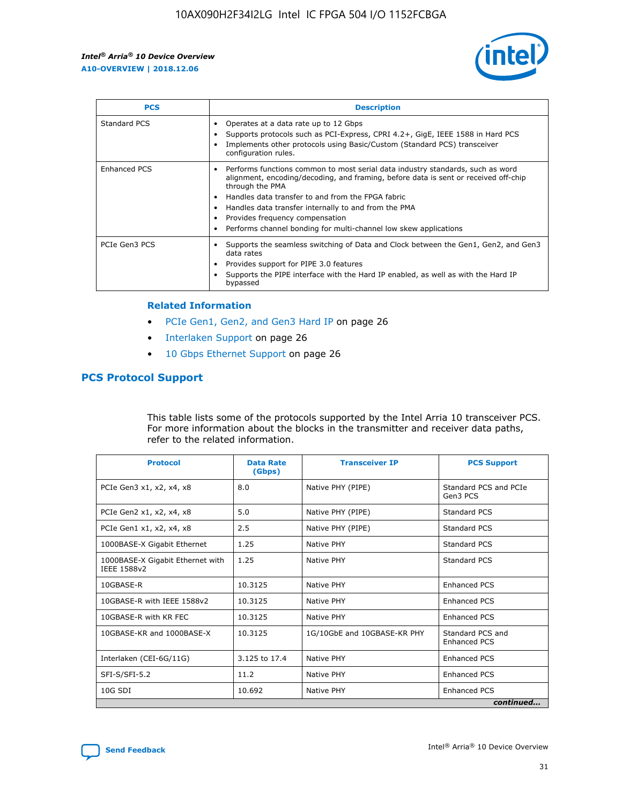

| <b>PCS</b>    | <b>Description</b>                                                                                                                                                                                                                                                                                                                                                                                             |
|---------------|----------------------------------------------------------------------------------------------------------------------------------------------------------------------------------------------------------------------------------------------------------------------------------------------------------------------------------------------------------------------------------------------------------------|
| Standard PCS  | Operates at a data rate up to 12 Gbps<br>Supports protocols such as PCI-Express, CPRI 4.2+, GigE, IEEE 1588 in Hard PCS<br>Implements other protocols using Basic/Custom (Standard PCS) transceiver<br>configuration rules.                                                                                                                                                                                    |
| Enhanced PCS  | Performs functions common to most serial data industry standards, such as word<br>alignment, encoding/decoding, and framing, before data is sent or received off-chip<br>through the PMA<br>• Handles data transfer to and from the FPGA fabric<br>Handles data transfer internally to and from the PMA<br>Provides frequency compensation<br>Performs channel bonding for multi-channel low skew applications |
| PCIe Gen3 PCS | Supports the seamless switching of Data and Clock between the Gen1, Gen2, and Gen3<br>data rates<br>Provides support for PIPE 3.0 features<br>Supports the PIPE interface with the Hard IP enabled, as well as with the Hard IP<br>bypassed                                                                                                                                                                    |

#### **Related Information**

- PCIe Gen1, Gen2, and Gen3 Hard IP on page 26
- Interlaken Support on page 26
- 10 Gbps Ethernet Support on page 26

## **PCS Protocol Support**

This table lists some of the protocols supported by the Intel Arria 10 transceiver PCS. For more information about the blocks in the transmitter and receiver data paths, refer to the related information.

| <b>Protocol</b>                                 | <b>Data Rate</b><br>(Gbps) | <b>Transceiver IP</b>       | <b>PCS Support</b>                      |
|-------------------------------------------------|----------------------------|-----------------------------|-----------------------------------------|
| PCIe Gen3 x1, x2, x4, x8                        | 8.0                        | Native PHY (PIPE)           | Standard PCS and PCIe<br>Gen3 PCS       |
| PCIe Gen2 x1, x2, x4, x8                        | 5.0                        | Native PHY (PIPE)           | <b>Standard PCS</b>                     |
| PCIe Gen1 x1, x2, x4, x8                        | 2.5                        | Native PHY (PIPE)           | Standard PCS                            |
| 1000BASE-X Gigabit Ethernet                     | 1.25                       | Native PHY                  | <b>Standard PCS</b>                     |
| 1000BASE-X Gigabit Ethernet with<br>IEEE 1588v2 | 1.25                       | Native PHY                  | Standard PCS                            |
| 10GBASE-R                                       | 10.3125                    | Native PHY                  | <b>Enhanced PCS</b>                     |
| 10GBASE-R with IEEE 1588v2                      | 10.3125                    | Native PHY                  | <b>Enhanced PCS</b>                     |
| 10GBASE-R with KR FEC                           | 10.3125                    | Native PHY                  | <b>Enhanced PCS</b>                     |
| 10GBASE-KR and 1000BASE-X                       | 10.3125                    | 1G/10GbE and 10GBASE-KR PHY | Standard PCS and<br><b>Enhanced PCS</b> |
| Interlaken (CEI-6G/11G)                         | 3.125 to 17.4              | Native PHY                  | <b>Enhanced PCS</b>                     |
| SFI-S/SFI-5.2                                   | 11.2                       | Native PHY                  | <b>Enhanced PCS</b>                     |
| $10G$ SDI                                       | 10.692                     | Native PHY                  | <b>Enhanced PCS</b>                     |
|                                                 |                            |                             | continued                               |

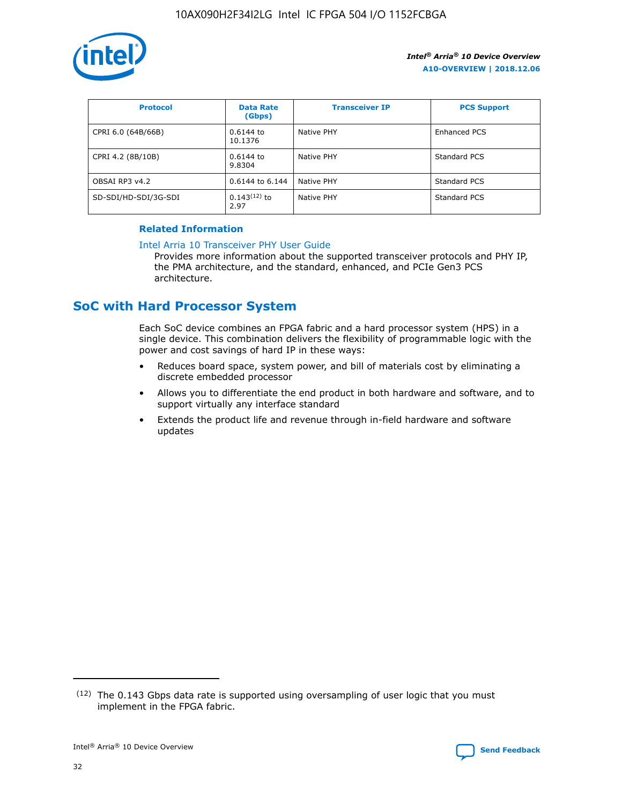

| <b>Protocol</b>      | <b>Data Rate</b><br>(Gbps) | <b>Transceiver IP</b> | <b>PCS Support</b> |
|----------------------|----------------------------|-----------------------|--------------------|
| CPRI 6.0 (64B/66B)   | 0.6144 to<br>10.1376       | Native PHY            | Enhanced PCS       |
| CPRI 4.2 (8B/10B)    | 0.6144 to<br>9.8304        | Native PHY            | Standard PCS       |
| OBSAI RP3 v4.2       | 0.6144 to 6.144            | Native PHY            | Standard PCS       |
| SD-SDI/HD-SDI/3G-SDI | $0.143(12)$ to<br>2.97     | Native PHY            | Standard PCS       |

## **Related Information**

#### [Intel Arria 10 Transceiver PHY User Guide](https://www.intel.com/content/www/us/en/programmable/documentation/nik1398707230472.html#nik1398707091164)

Provides more information about the supported transceiver protocols and PHY IP, the PMA architecture, and the standard, enhanced, and PCIe Gen3 PCS architecture.

# **SoC with Hard Processor System**

Each SoC device combines an FPGA fabric and a hard processor system (HPS) in a single device. This combination delivers the flexibility of programmable logic with the power and cost savings of hard IP in these ways:

- Reduces board space, system power, and bill of materials cost by eliminating a discrete embedded processor
- Allows you to differentiate the end product in both hardware and software, and to support virtually any interface standard
- Extends the product life and revenue through in-field hardware and software updates

 $(12)$  The 0.143 Gbps data rate is supported using oversampling of user logic that you must implement in the FPGA fabric.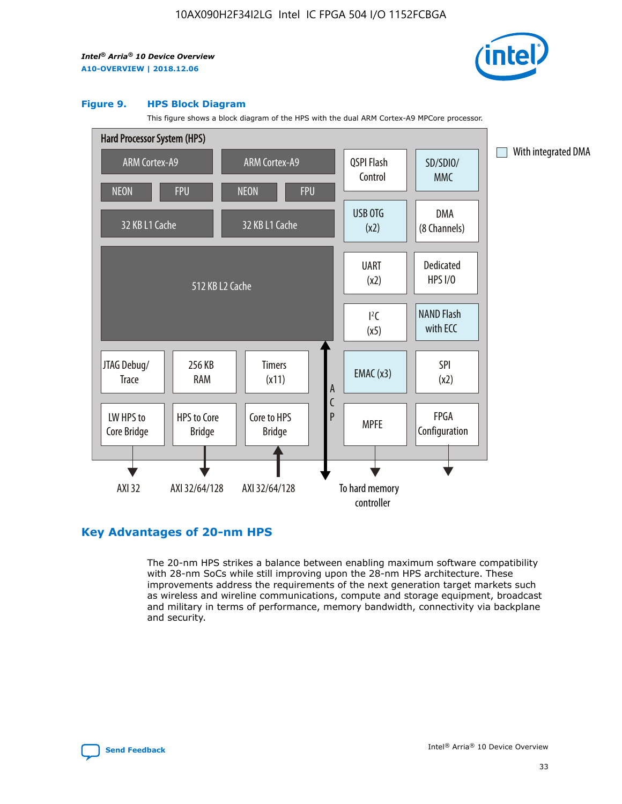

#### **Figure 9. HPS Block Diagram**

This figure shows a block diagram of the HPS with the dual ARM Cortex-A9 MPCore processor.



## **Key Advantages of 20-nm HPS**

The 20-nm HPS strikes a balance between enabling maximum software compatibility with 28-nm SoCs while still improving upon the 28-nm HPS architecture. These improvements address the requirements of the next generation target markets such as wireless and wireline communications, compute and storage equipment, broadcast and military in terms of performance, memory bandwidth, connectivity via backplane and security.

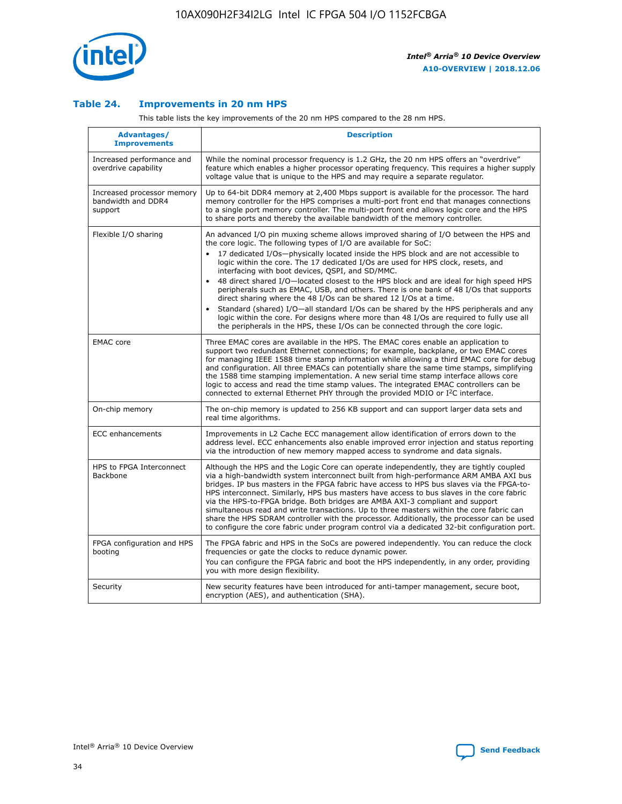

## **Table 24. Improvements in 20 nm HPS**

This table lists the key improvements of the 20 nm HPS compared to the 28 nm HPS.

| <b>Advantages/</b><br><b>Improvements</b>                   | <b>Description</b>                                                                                                                                                                                                                                                                                                                                                                                                                                                                                                                                                                                                                                                                                                                                                                                                                                                                                                      |
|-------------------------------------------------------------|-------------------------------------------------------------------------------------------------------------------------------------------------------------------------------------------------------------------------------------------------------------------------------------------------------------------------------------------------------------------------------------------------------------------------------------------------------------------------------------------------------------------------------------------------------------------------------------------------------------------------------------------------------------------------------------------------------------------------------------------------------------------------------------------------------------------------------------------------------------------------------------------------------------------------|
| Increased performance and<br>overdrive capability           | While the nominal processor frequency is 1.2 GHz, the 20 nm HPS offers an "overdrive"<br>feature which enables a higher processor operating frequency. This requires a higher supply<br>voltage value that is unique to the HPS and may require a separate regulator.                                                                                                                                                                                                                                                                                                                                                                                                                                                                                                                                                                                                                                                   |
| Increased processor memory<br>bandwidth and DDR4<br>support | Up to 64-bit DDR4 memory at 2,400 Mbps support is available for the processor. The hard<br>memory controller for the HPS comprises a multi-port front end that manages connections<br>to a single port memory controller. The multi-port front end allows logic core and the HPS<br>to share ports and thereby the available bandwidth of the memory controller.                                                                                                                                                                                                                                                                                                                                                                                                                                                                                                                                                        |
| Flexible I/O sharing                                        | An advanced I/O pin muxing scheme allows improved sharing of I/O between the HPS and<br>the core logic. The following types of I/O are available for SoC:<br>17 dedicated I/Os-physically located inside the HPS block and are not accessible to<br>logic within the core. The 17 dedicated I/Os are used for HPS clock, resets, and<br>interfacing with boot devices, QSPI, and SD/MMC.<br>48 direct shared I/O-located closest to the HPS block and are ideal for high speed HPS<br>peripherals such as EMAC, USB, and others. There is one bank of 48 I/Os that supports<br>direct sharing where the 48 I/Os can be shared 12 I/Os at a time.<br>Standard (shared) I/O-all standard I/Os can be shared by the HPS peripherals and any<br>logic within the core. For designs where more than 48 I/Os are required to fully use all<br>the peripherals in the HPS, these I/Os can be connected through the core logic. |
| <b>EMAC</b> core                                            | Three EMAC cores are available in the HPS. The EMAC cores enable an application to<br>support two redundant Ethernet connections; for example, backplane, or two EMAC cores<br>for managing IEEE 1588 time stamp information while allowing a third EMAC core for debug<br>and configuration. All three EMACs can potentially share the same time stamps, simplifying<br>the 1588 time stamping implementation. A new serial time stamp interface allows core<br>logic to access and read the time stamp values. The integrated EMAC controllers can be<br>connected to external Ethernet PHY through the provided MDIO or I <sup>2</sup> C interface.                                                                                                                                                                                                                                                                  |
| On-chip memory                                              | The on-chip memory is updated to 256 KB support and can support larger data sets and<br>real time algorithms.                                                                                                                                                                                                                                                                                                                                                                                                                                                                                                                                                                                                                                                                                                                                                                                                           |
| <b>ECC</b> enhancements                                     | Improvements in L2 Cache ECC management allow identification of errors down to the<br>address level. ECC enhancements also enable improved error injection and status reporting<br>via the introduction of new memory mapped access to syndrome and data signals.                                                                                                                                                                                                                                                                                                                                                                                                                                                                                                                                                                                                                                                       |
| HPS to FPGA Interconnect<br>Backbone                        | Although the HPS and the Logic Core can operate independently, they are tightly coupled<br>via a high-bandwidth system interconnect built from high-performance ARM AMBA AXI bus<br>bridges. IP bus masters in the FPGA fabric have access to HPS bus slaves via the FPGA-to-<br>HPS interconnect. Similarly, HPS bus masters have access to bus slaves in the core fabric<br>via the HPS-to-FPGA bridge. Both bridges are AMBA AXI-3 compliant and support<br>simultaneous read and write transactions. Up to three masters within the core fabric can<br>share the HPS SDRAM controller with the processor. Additionally, the processor can be used<br>to configure the core fabric under program control via a dedicated 32-bit configuration port.                                                                                                                                                                  |
| FPGA configuration and HPS<br>booting                       | The FPGA fabric and HPS in the SoCs are powered independently. You can reduce the clock<br>frequencies or gate the clocks to reduce dynamic power.<br>You can configure the FPGA fabric and boot the HPS independently, in any order, providing<br>you with more design flexibility.                                                                                                                                                                                                                                                                                                                                                                                                                                                                                                                                                                                                                                    |
| Security                                                    | New security features have been introduced for anti-tamper management, secure boot,<br>encryption (AES), and authentication (SHA).                                                                                                                                                                                                                                                                                                                                                                                                                                                                                                                                                                                                                                                                                                                                                                                      |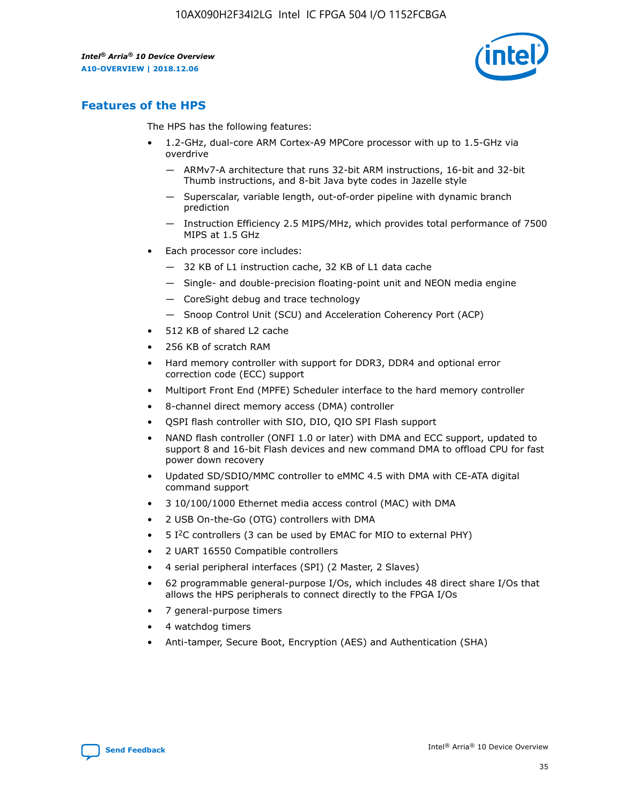

# **Features of the HPS**

The HPS has the following features:

- 1.2-GHz, dual-core ARM Cortex-A9 MPCore processor with up to 1.5-GHz via overdrive
	- ARMv7-A architecture that runs 32-bit ARM instructions, 16-bit and 32-bit Thumb instructions, and 8-bit Java byte codes in Jazelle style
	- Superscalar, variable length, out-of-order pipeline with dynamic branch prediction
	- Instruction Efficiency 2.5 MIPS/MHz, which provides total performance of 7500 MIPS at 1.5 GHz
- Each processor core includes:
	- 32 KB of L1 instruction cache, 32 KB of L1 data cache
	- Single- and double-precision floating-point unit and NEON media engine
	- CoreSight debug and trace technology
	- Snoop Control Unit (SCU) and Acceleration Coherency Port (ACP)
- 512 KB of shared L2 cache
- 256 KB of scratch RAM
- Hard memory controller with support for DDR3, DDR4 and optional error correction code (ECC) support
- Multiport Front End (MPFE) Scheduler interface to the hard memory controller
- 8-channel direct memory access (DMA) controller
- QSPI flash controller with SIO, DIO, QIO SPI Flash support
- NAND flash controller (ONFI 1.0 or later) with DMA and ECC support, updated to support 8 and 16-bit Flash devices and new command DMA to offload CPU for fast power down recovery
- Updated SD/SDIO/MMC controller to eMMC 4.5 with DMA with CE-ATA digital command support
- 3 10/100/1000 Ethernet media access control (MAC) with DMA
- 2 USB On-the-Go (OTG) controllers with DMA
- $\bullet$  5 I<sup>2</sup>C controllers (3 can be used by EMAC for MIO to external PHY)
- 2 UART 16550 Compatible controllers
- 4 serial peripheral interfaces (SPI) (2 Master, 2 Slaves)
- 62 programmable general-purpose I/Os, which includes 48 direct share I/Os that allows the HPS peripherals to connect directly to the FPGA I/Os
- 7 general-purpose timers
- 4 watchdog timers
- Anti-tamper, Secure Boot, Encryption (AES) and Authentication (SHA)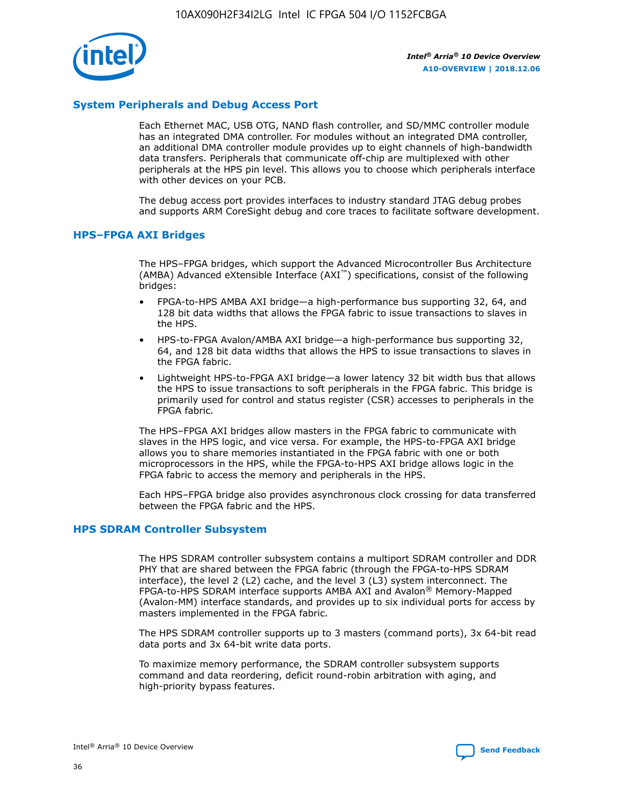

## **System Peripherals and Debug Access Port**

Each Ethernet MAC, USB OTG, NAND flash controller, and SD/MMC controller module has an integrated DMA controller. For modules without an integrated DMA controller, an additional DMA controller module provides up to eight channels of high-bandwidth data transfers. Peripherals that communicate off-chip are multiplexed with other peripherals at the HPS pin level. This allows you to choose which peripherals interface with other devices on your PCB.

The debug access port provides interfaces to industry standard JTAG debug probes and supports ARM CoreSight debug and core traces to facilitate software development.

#### **HPS–FPGA AXI Bridges**

The HPS–FPGA bridges, which support the Advanced Microcontroller Bus Architecture (AMBA) Advanced eXtensible Interface (AXI™) specifications, consist of the following bridges:

- FPGA-to-HPS AMBA AXI bridge—a high-performance bus supporting 32, 64, and 128 bit data widths that allows the FPGA fabric to issue transactions to slaves in the HPS.
- HPS-to-FPGA Avalon/AMBA AXI bridge—a high-performance bus supporting 32, 64, and 128 bit data widths that allows the HPS to issue transactions to slaves in the FPGA fabric.
- Lightweight HPS-to-FPGA AXI bridge—a lower latency 32 bit width bus that allows the HPS to issue transactions to soft peripherals in the FPGA fabric. This bridge is primarily used for control and status register (CSR) accesses to peripherals in the FPGA fabric.

The HPS–FPGA AXI bridges allow masters in the FPGA fabric to communicate with slaves in the HPS logic, and vice versa. For example, the HPS-to-FPGA AXI bridge allows you to share memories instantiated in the FPGA fabric with one or both microprocessors in the HPS, while the FPGA-to-HPS AXI bridge allows logic in the FPGA fabric to access the memory and peripherals in the HPS.

Each HPS–FPGA bridge also provides asynchronous clock crossing for data transferred between the FPGA fabric and the HPS.

#### **HPS SDRAM Controller Subsystem**

The HPS SDRAM controller subsystem contains a multiport SDRAM controller and DDR PHY that are shared between the FPGA fabric (through the FPGA-to-HPS SDRAM interface), the level 2 (L2) cache, and the level 3 (L3) system interconnect. The FPGA-to-HPS SDRAM interface supports AMBA AXI and Avalon® Memory-Mapped (Avalon-MM) interface standards, and provides up to six individual ports for access by masters implemented in the FPGA fabric.

The HPS SDRAM controller supports up to 3 masters (command ports), 3x 64-bit read data ports and 3x 64-bit write data ports.

To maximize memory performance, the SDRAM controller subsystem supports command and data reordering, deficit round-robin arbitration with aging, and high-priority bypass features.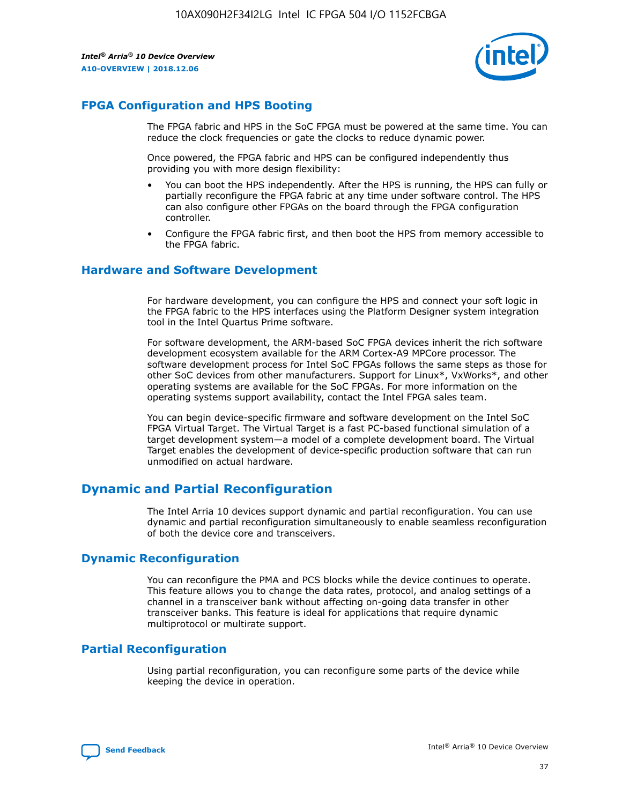

## **FPGA Configuration and HPS Booting**

The FPGA fabric and HPS in the SoC FPGA must be powered at the same time. You can reduce the clock frequencies or gate the clocks to reduce dynamic power.

Once powered, the FPGA fabric and HPS can be configured independently thus providing you with more design flexibility:

- You can boot the HPS independently. After the HPS is running, the HPS can fully or partially reconfigure the FPGA fabric at any time under software control. The HPS can also configure other FPGAs on the board through the FPGA configuration controller.
- Configure the FPGA fabric first, and then boot the HPS from memory accessible to the FPGA fabric.

## **Hardware and Software Development**

For hardware development, you can configure the HPS and connect your soft logic in the FPGA fabric to the HPS interfaces using the Platform Designer system integration tool in the Intel Quartus Prime software.

For software development, the ARM-based SoC FPGA devices inherit the rich software development ecosystem available for the ARM Cortex-A9 MPCore processor. The software development process for Intel SoC FPGAs follows the same steps as those for other SoC devices from other manufacturers. Support for Linux\*, VxWorks\*, and other operating systems are available for the SoC FPGAs. For more information on the operating systems support availability, contact the Intel FPGA sales team.

You can begin device-specific firmware and software development on the Intel SoC FPGA Virtual Target. The Virtual Target is a fast PC-based functional simulation of a target development system—a model of a complete development board. The Virtual Target enables the development of device-specific production software that can run unmodified on actual hardware.

## **Dynamic and Partial Reconfiguration**

The Intel Arria 10 devices support dynamic and partial reconfiguration. You can use dynamic and partial reconfiguration simultaneously to enable seamless reconfiguration of both the device core and transceivers.

## **Dynamic Reconfiguration**

You can reconfigure the PMA and PCS blocks while the device continues to operate. This feature allows you to change the data rates, protocol, and analog settings of a channel in a transceiver bank without affecting on-going data transfer in other transceiver banks. This feature is ideal for applications that require dynamic multiprotocol or multirate support.

## **Partial Reconfiguration**

Using partial reconfiguration, you can reconfigure some parts of the device while keeping the device in operation.

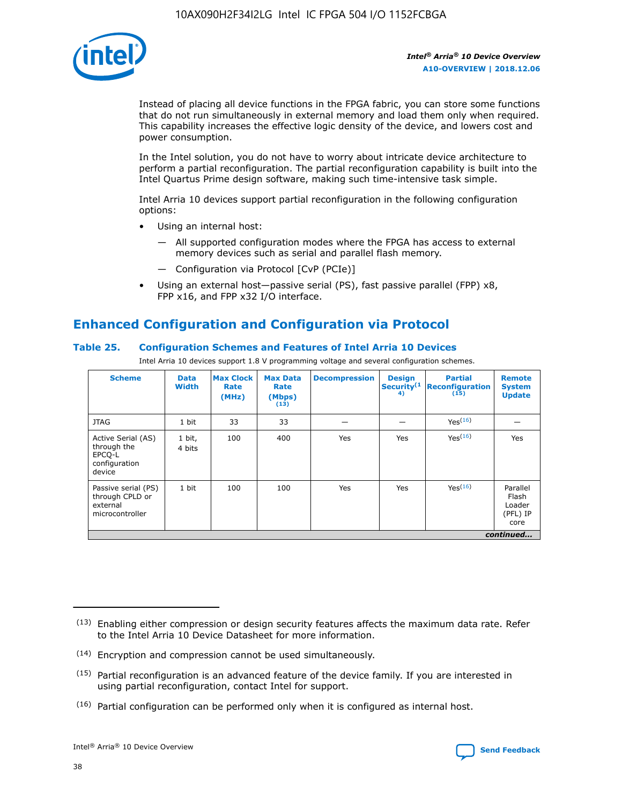

Instead of placing all device functions in the FPGA fabric, you can store some functions that do not run simultaneously in external memory and load them only when required. This capability increases the effective logic density of the device, and lowers cost and power consumption.

In the Intel solution, you do not have to worry about intricate device architecture to perform a partial reconfiguration. The partial reconfiguration capability is built into the Intel Quartus Prime design software, making such time-intensive task simple.

Intel Arria 10 devices support partial reconfiguration in the following configuration options:

- Using an internal host:
	- All supported configuration modes where the FPGA has access to external memory devices such as serial and parallel flash memory.
	- Configuration via Protocol [CvP (PCIe)]
- Using an external host—passive serial (PS), fast passive parallel (FPP) x8, FPP x16, and FPP x32 I/O interface.

# **Enhanced Configuration and Configuration via Protocol**

## **Table 25. Configuration Schemes and Features of Intel Arria 10 Devices**

Intel Arria 10 devices support 1.8 V programming voltage and several configuration schemes.

| <b>Scheme</b>                                                          | <b>Data</b><br><b>Width</b> | <b>Max Clock</b><br>Rate<br>(MHz) | <b>Max Data</b><br>Rate<br>(Mbps)<br>(13) | <b>Decompression</b> | <b>Design</b><br>Security <sup>(1</sup><br>4) | <b>Partial</b><br><b>Reconfiguration</b><br>(15) | <b>Remote</b><br><b>System</b><br><b>Update</b> |
|------------------------------------------------------------------------|-----------------------------|-----------------------------------|-------------------------------------------|----------------------|-----------------------------------------------|--------------------------------------------------|-------------------------------------------------|
| <b>JTAG</b>                                                            | 1 bit                       | 33                                | 33                                        |                      |                                               | Yes(16)                                          |                                                 |
| Active Serial (AS)<br>through the<br>EPCO-L<br>configuration<br>device | 1 bit,<br>4 bits            | 100                               | 400                                       | Yes                  | Yes                                           | $Y_{PS}(16)$                                     | Yes                                             |
| Passive serial (PS)<br>through CPLD or<br>external<br>microcontroller  | 1 bit                       | 100                               | 100                                       | Yes                  | Yes                                           | Yes(16)                                          | Parallel<br>Flash<br>Loader<br>(PFL) IP<br>core |
|                                                                        |                             |                                   |                                           |                      |                                               |                                                  | continued                                       |

<sup>(13)</sup> Enabling either compression or design security features affects the maximum data rate. Refer to the Intel Arria 10 Device Datasheet for more information.

<sup>(14)</sup> Encryption and compression cannot be used simultaneously.

 $<sup>(15)</sup>$  Partial reconfiguration is an advanced feature of the device family. If you are interested in</sup> using partial reconfiguration, contact Intel for support.

 $(16)$  Partial configuration can be performed only when it is configured as internal host.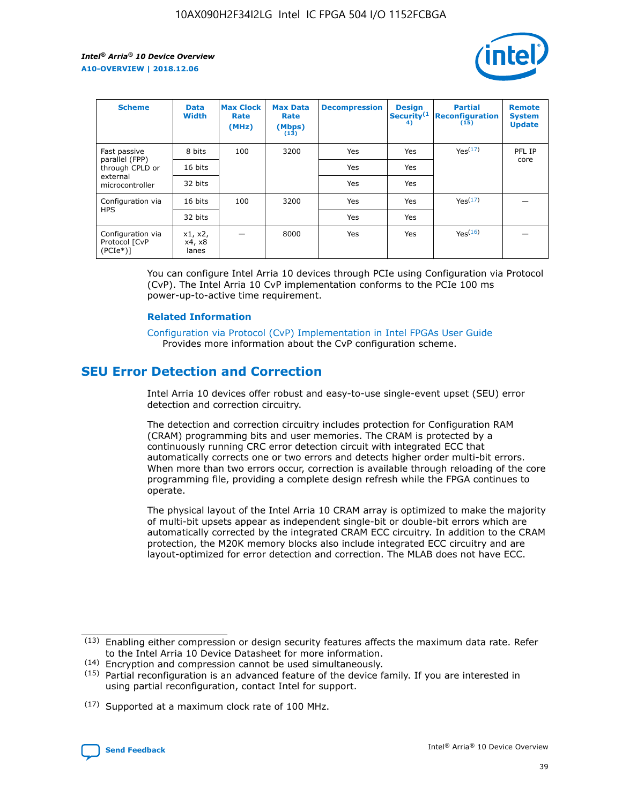

| <b>Scheme</b>                                    | <b>Data</b><br><b>Width</b> | <b>Max Clock</b><br>Rate<br>(MHz) | <b>Max Data</b><br>Rate<br>(Mbps)<br>(13) | <b>Decompression</b> | <b>Design</b><br>Security <sup>(1</sup><br>4) | <b>Partial</b><br><b>Reconfiguration</b><br>(15) | <b>Remote</b><br><b>System</b><br><b>Update</b> |
|--------------------------------------------------|-----------------------------|-----------------------------------|-------------------------------------------|----------------------|-----------------------------------------------|--------------------------------------------------|-------------------------------------------------|
| Fast passive                                     | 8 bits                      | 100                               | 3200                                      | <b>Yes</b>           | Yes                                           | Yes(17)                                          | PFL IP                                          |
| parallel (FPP)<br>through CPLD or                | 16 bits                     |                                   |                                           | Yes                  | Yes                                           |                                                  | core                                            |
| external<br>microcontroller                      | 32 bits                     |                                   |                                           | Yes                  | Yes                                           |                                                  |                                                 |
| Configuration via                                | 16 bits                     | 100                               | 3200                                      | Yes                  | Yes                                           | Yes <sup>(17)</sup>                              |                                                 |
| <b>HPS</b>                                       | 32 bits                     |                                   |                                           | Yes                  | Yes                                           |                                                  |                                                 |
| Configuration via<br>Protocol [CvP<br>$(PCIe^*)$ | x1, x2,<br>x4, x8<br>lanes  |                                   | 8000                                      | Yes                  | Yes                                           | Yes <sup>(16)</sup>                              |                                                 |

You can configure Intel Arria 10 devices through PCIe using Configuration via Protocol (CvP). The Intel Arria 10 CvP implementation conforms to the PCIe 100 ms power-up-to-active time requirement.

#### **Related Information**

[Configuration via Protocol \(CvP\) Implementation in Intel FPGAs User Guide](https://www.intel.com/content/www/us/en/programmable/documentation/dsu1441819344145.html#dsu1442269728522) Provides more information about the CvP configuration scheme.

# **SEU Error Detection and Correction**

Intel Arria 10 devices offer robust and easy-to-use single-event upset (SEU) error detection and correction circuitry.

The detection and correction circuitry includes protection for Configuration RAM (CRAM) programming bits and user memories. The CRAM is protected by a continuously running CRC error detection circuit with integrated ECC that automatically corrects one or two errors and detects higher order multi-bit errors. When more than two errors occur, correction is available through reloading of the core programming file, providing a complete design refresh while the FPGA continues to operate.

The physical layout of the Intel Arria 10 CRAM array is optimized to make the majority of multi-bit upsets appear as independent single-bit or double-bit errors which are automatically corrected by the integrated CRAM ECC circuitry. In addition to the CRAM protection, the M20K memory blocks also include integrated ECC circuitry and are layout-optimized for error detection and correction. The MLAB does not have ECC.

<sup>(17)</sup> Supported at a maximum clock rate of 100 MHz.



 $(13)$  Enabling either compression or design security features affects the maximum data rate. Refer to the Intel Arria 10 Device Datasheet for more information.

<sup>(14)</sup> Encryption and compression cannot be used simultaneously.

 $(15)$  Partial reconfiguration is an advanced feature of the device family. If you are interested in using partial reconfiguration, contact Intel for support.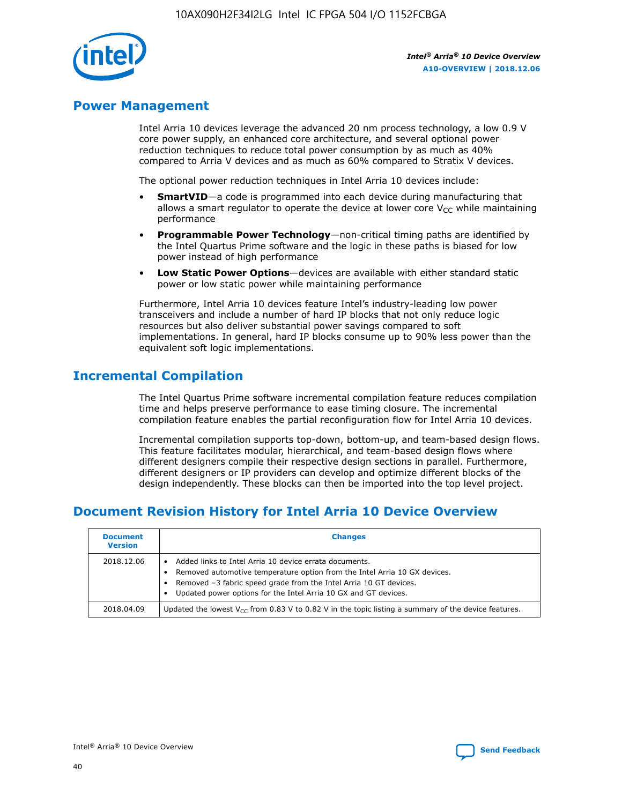

## **Power Management**

Intel Arria 10 devices leverage the advanced 20 nm process technology, a low 0.9 V core power supply, an enhanced core architecture, and several optional power reduction techniques to reduce total power consumption by as much as 40% compared to Arria V devices and as much as 60% compared to Stratix V devices.

The optional power reduction techniques in Intel Arria 10 devices include:

- **SmartVID**—a code is programmed into each device during manufacturing that allows a smart regulator to operate the device at lower core  $V_{CC}$  while maintaining performance
- **Programmable Power Technology**—non-critical timing paths are identified by the Intel Quartus Prime software and the logic in these paths is biased for low power instead of high performance
- **Low Static Power Options**—devices are available with either standard static power or low static power while maintaining performance

Furthermore, Intel Arria 10 devices feature Intel's industry-leading low power transceivers and include a number of hard IP blocks that not only reduce logic resources but also deliver substantial power savings compared to soft implementations. In general, hard IP blocks consume up to 90% less power than the equivalent soft logic implementations.

# **Incremental Compilation**

The Intel Quartus Prime software incremental compilation feature reduces compilation time and helps preserve performance to ease timing closure. The incremental compilation feature enables the partial reconfiguration flow for Intel Arria 10 devices.

Incremental compilation supports top-down, bottom-up, and team-based design flows. This feature facilitates modular, hierarchical, and team-based design flows where different designers compile their respective design sections in parallel. Furthermore, different designers or IP providers can develop and optimize different blocks of the design independently. These blocks can then be imported into the top level project.

# **Document Revision History for Intel Arria 10 Device Overview**

| <b>Document</b><br><b>Version</b> | <b>Changes</b>                                                                                                                                                                                                                                                              |
|-----------------------------------|-----------------------------------------------------------------------------------------------------------------------------------------------------------------------------------------------------------------------------------------------------------------------------|
| 2018.12.06                        | Added links to Intel Arria 10 device errata documents.<br>Removed automotive temperature option from the Intel Arria 10 GX devices.<br>Removed -3 fabric speed grade from the Intel Arria 10 GT devices.<br>Updated power options for the Intel Arria 10 GX and GT devices. |
| 2018.04.09                        | Updated the lowest $V_{CC}$ from 0.83 V to 0.82 V in the topic listing a summary of the device features.                                                                                                                                                                    |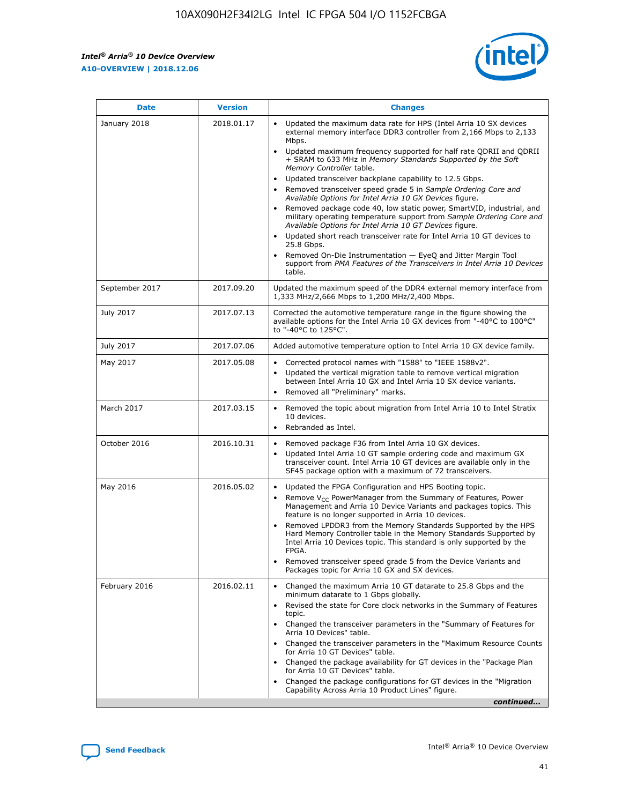*Intel® Arria® 10 Device Overview* **A10-OVERVIEW | 2018.12.06**



| <b>Date</b>    | <b>Version</b> | <b>Changes</b>                                                                                                                                                                                                                                                                                                                                                                                                                                                                                                                                                                                                                                                                                                                                                                                                                                                                                                                                                            |
|----------------|----------------|---------------------------------------------------------------------------------------------------------------------------------------------------------------------------------------------------------------------------------------------------------------------------------------------------------------------------------------------------------------------------------------------------------------------------------------------------------------------------------------------------------------------------------------------------------------------------------------------------------------------------------------------------------------------------------------------------------------------------------------------------------------------------------------------------------------------------------------------------------------------------------------------------------------------------------------------------------------------------|
| January 2018   | 2018.01.17     | Updated the maximum data rate for HPS (Intel Arria 10 SX devices<br>external memory interface DDR3 controller from 2,166 Mbps to 2,133<br>Mbps.<br>Updated maximum frequency supported for half rate QDRII and QDRII<br>+ SRAM to 633 MHz in Memory Standards Supported by the Soft<br>Memory Controller table.<br>Updated transceiver backplane capability to 12.5 Gbps.<br>$\bullet$<br>Removed transceiver speed grade 5 in Sample Ordering Core and<br>Available Options for Intel Arria 10 GX Devices figure.<br>Removed package code 40, low static power, SmartVID, industrial, and<br>military operating temperature support from Sample Ordering Core and<br>Available Options for Intel Arria 10 GT Devices figure.<br>Updated short reach transceiver rate for Intel Arria 10 GT devices to<br>25.8 Gbps.<br>Removed On-Die Instrumentation - EyeQ and Jitter Margin Tool<br>support from PMA Features of the Transceivers in Intel Arria 10 Devices<br>table. |
| September 2017 | 2017.09.20     | Updated the maximum speed of the DDR4 external memory interface from<br>1,333 MHz/2,666 Mbps to 1,200 MHz/2,400 Mbps.                                                                                                                                                                                                                                                                                                                                                                                                                                                                                                                                                                                                                                                                                                                                                                                                                                                     |
| July 2017      | 2017.07.13     | Corrected the automotive temperature range in the figure showing the<br>available options for the Intel Arria 10 GX devices from "-40°C to 100°C"<br>to "-40°C to 125°C".                                                                                                                                                                                                                                                                                                                                                                                                                                                                                                                                                                                                                                                                                                                                                                                                 |
| July 2017      | 2017.07.06     | Added automotive temperature option to Intel Arria 10 GX device family.                                                                                                                                                                                                                                                                                                                                                                                                                                                                                                                                                                                                                                                                                                                                                                                                                                                                                                   |
| May 2017       | 2017.05.08     | Corrected protocol names with "1588" to "IEEE 1588v2".<br>Updated the vertical migration table to remove vertical migration<br>between Intel Arria 10 GX and Intel Arria 10 SX device variants.<br>Removed all "Preliminary" marks.                                                                                                                                                                                                                                                                                                                                                                                                                                                                                                                                                                                                                                                                                                                                       |
| March 2017     | 2017.03.15     | Removed the topic about migration from Intel Arria 10 to Intel Stratix<br>10 devices.<br>Rebranded as Intel.<br>$\bullet$                                                                                                                                                                                                                                                                                                                                                                                                                                                                                                                                                                                                                                                                                                                                                                                                                                                 |
| October 2016   | 2016.10.31     | Removed package F36 from Intel Arria 10 GX devices.<br>Updated Intel Arria 10 GT sample ordering code and maximum GX<br>$\bullet$<br>transceiver count. Intel Arria 10 GT devices are available only in the<br>SF45 package option with a maximum of 72 transceivers.                                                                                                                                                                                                                                                                                                                                                                                                                                                                                                                                                                                                                                                                                                     |
| May 2016       | 2016.05.02     | Updated the FPGA Configuration and HPS Booting topic.<br>Remove V <sub>CC</sub> PowerManager from the Summary of Features, Power<br>Management and Arria 10 Device Variants and packages topics. This<br>feature is no longer supported in Arria 10 devices.<br>Removed LPDDR3 from the Memory Standards Supported by the HPS<br>Hard Memory Controller table in the Memory Standards Supported by<br>Intel Arria 10 Devices topic. This standard is only supported by the<br>FPGA.<br>Removed transceiver speed grade 5 from the Device Variants and<br>Packages topic for Arria 10 GX and SX devices.                                                                                                                                                                                                                                                                                                                                                                   |
| February 2016  | 2016.02.11     | Changed the maximum Arria 10 GT datarate to 25.8 Gbps and the<br>minimum datarate to 1 Gbps globally.<br>Revised the state for Core clock networks in the Summary of Features<br>$\bullet$<br>topic.<br>Changed the transceiver parameters in the "Summary of Features for<br>Arria 10 Devices" table.<br>• Changed the transceiver parameters in the "Maximum Resource Counts<br>for Arria 10 GT Devices" table.<br>• Changed the package availability for GT devices in the "Package Plan<br>for Arria 10 GT Devices" table.<br>Changed the package configurations for GT devices in the "Migration"<br>Capability Across Arria 10 Product Lines" figure.<br>continued                                                                                                                                                                                                                                                                                                  |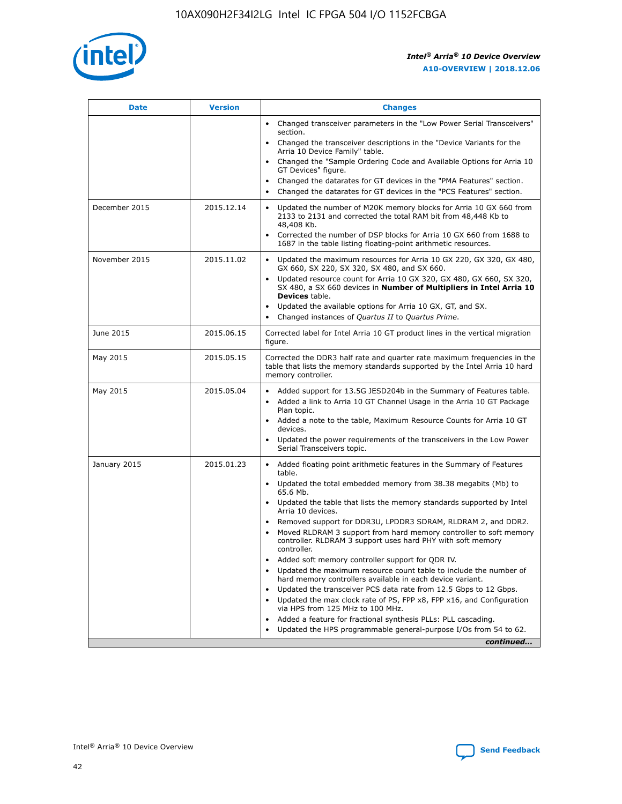

| <b>Date</b>   | <b>Version</b> | <b>Changes</b>                                                                                                                                                                   |
|---------------|----------------|----------------------------------------------------------------------------------------------------------------------------------------------------------------------------------|
|               |                | • Changed transceiver parameters in the "Low Power Serial Transceivers"<br>section.                                                                                              |
|               |                | • Changed the transceiver descriptions in the "Device Variants for the<br>Arria 10 Device Family" table.                                                                         |
|               |                | Changed the "Sample Ordering Code and Available Options for Arria 10<br>GT Devices" figure.                                                                                      |
|               |                | Changed the datarates for GT devices in the "PMA Features" section.                                                                                                              |
|               |                | Changed the datarates for GT devices in the "PCS Features" section.<br>$\bullet$                                                                                                 |
| December 2015 | 2015.12.14     | Updated the number of M20K memory blocks for Arria 10 GX 660 from<br>$\bullet$<br>2133 to 2131 and corrected the total RAM bit from 48,448 Kb to<br>48,408 Kb.                   |
|               |                | Corrected the number of DSP blocks for Arria 10 GX 660 from 1688 to<br>$\bullet$<br>1687 in the table listing floating-point arithmetic resources.                               |
| November 2015 | 2015.11.02     | Updated the maximum resources for Arria 10 GX 220, GX 320, GX 480,<br>$\bullet$<br>GX 660, SX 220, SX 320, SX 480, and SX 660.                                                   |
|               |                | Updated resource count for Arria 10 GX 320, GX 480, GX 660, SX 320,<br>$\bullet$<br>SX 480, a SX 660 devices in Number of Multipliers in Intel Arria 10<br><b>Devices</b> table. |
|               |                | Updated the available options for Arria 10 GX, GT, and SX.<br>$\bullet$                                                                                                          |
|               |                | Changed instances of Quartus II to Quartus Prime.<br>$\bullet$                                                                                                                   |
| June 2015     | 2015.06.15     | Corrected label for Intel Arria 10 GT product lines in the vertical migration<br>figure.                                                                                         |
| May 2015      | 2015.05.15     | Corrected the DDR3 half rate and quarter rate maximum frequencies in the<br>table that lists the memory standards supported by the Intel Arria 10 hard<br>memory controller.     |
| May 2015      | 2015.05.04     | • Added support for 13.5G JESD204b in the Summary of Features table.<br>• Added a link to Arria 10 GT Channel Usage in the Arria 10 GT Package<br>Plan topic.                    |
|               |                | • Added a note to the table, Maximum Resource Counts for Arria 10 GT<br>devices.                                                                                                 |
|               |                | Updated the power requirements of the transceivers in the Low Power<br>Serial Transceivers topic.                                                                                |
| January 2015  | 2015.01.23     | • Added floating point arithmetic features in the Summary of Features<br>table.                                                                                                  |
|               |                | • Updated the total embedded memory from 38.38 megabits (Mb) to<br>65.6 Mb.                                                                                                      |
|               |                | • Updated the table that lists the memory standards supported by Intel<br>Arria 10 devices.                                                                                      |
|               |                | Removed support for DDR3U, LPDDR3 SDRAM, RLDRAM 2, and DDR2.<br>Moved RLDRAM 3 support from hard memory controller to soft memory                                                |
|               |                | controller. RLDRAM 3 support uses hard PHY with soft memory<br>controller.                                                                                                       |
|               |                | Added soft memory controller support for QDR IV.                                                                                                                                 |
|               |                | Updated the maximum resource count table to include the number of<br>hard memory controllers available in each device variant.                                                   |
|               |                | Updated the transceiver PCS data rate from 12.5 Gbps to 12 Gbps.<br>$\bullet$                                                                                                    |
|               |                | Updated the max clock rate of PS, FPP x8, FPP x16, and Configuration<br>via HPS from 125 MHz to 100 MHz.                                                                         |
|               |                | Added a feature for fractional synthesis PLLs: PLL cascading.                                                                                                                    |
|               |                | Updated the HPS programmable general-purpose I/Os from 54 to 62.<br>$\bullet$                                                                                                    |
|               |                | continued                                                                                                                                                                        |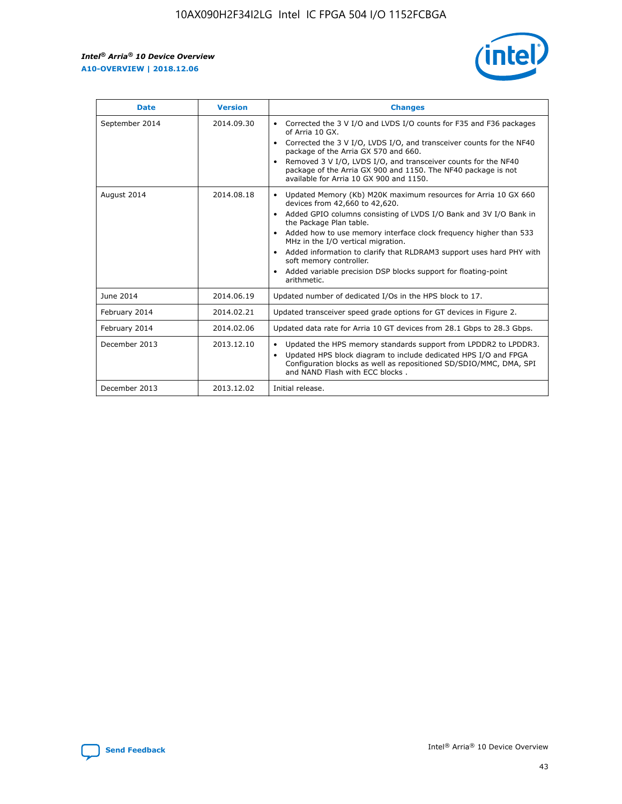r



| <b>Date</b>    | <b>Version</b> | <b>Changes</b>                                                                                                                                                                                                                                                                                                                                                                                                                                                                                                                                      |
|----------------|----------------|-----------------------------------------------------------------------------------------------------------------------------------------------------------------------------------------------------------------------------------------------------------------------------------------------------------------------------------------------------------------------------------------------------------------------------------------------------------------------------------------------------------------------------------------------------|
| September 2014 | 2014.09.30     | Corrected the 3 V I/O and LVDS I/O counts for F35 and F36 packages<br>$\bullet$<br>of Arria 10 GX.<br>Corrected the 3 V I/O, LVDS I/O, and transceiver counts for the NF40<br>$\bullet$<br>package of the Arria GX 570 and 660.<br>Removed 3 V I/O, LVDS I/O, and transceiver counts for the NF40<br>package of the Arria GX 900 and 1150. The NF40 package is not<br>available for Arria 10 GX 900 and 1150.                                                                                                                                       |
| August 2014    | 2014.08.18     | Updated Memory (Kb) M20K maximum resources for Arria 10 GX 660<br>devices from 42,660 to 42,620.<br>Added GPIO columns consisting of LVDS I/O Bank and 3V I/O Bank in<br>$\bullet$<br>the Package Plan table.<br>Added how to use memory interface clock frequency higher than 533<br>$\bullet$<br>MHz in the I/O vertical migration.<br>Added information to clarify that RLDRAM3 support uses hard PHY with<br>$\bullet$<br>soft memory controller.<br>Added variable precision DSP blocks support for floating-point<br>$\bullet$<br>arithmetic. |
| June 2014      | 2014.06.19     | Updated number of dedicated I/Os in the HPS block to 17.                                                                                                                                                                                                                                                                                                                                                                                                                                                                                            |
| February 2014  | 2014.02.21     | Updated transceiver speed grade options for GT devices in Figure 2.                                                                                                                                                                                                                                                                                                                                                                                                                                                                                 |
| February 2014  | 2014.02.06     | Updated data rate for Arria 10 GT devices from 28.1 Gbps to 28.3 Gbps.                                                                                                                                                                                                                                                                                                                                                                                                                                                                              |
| December 2013  | 2013.12.10     | Updated the HPS memory standards support from LPDDR2 to LPDDR3.<br>Updated HPS block diagram to include dedicated HPS I/O and FPGA<br>$\bullet$<br>Configuration blocks as well as repositioned SD/SDIO/MMC, DMA, SPI<br>and NAND Flash with ECC blocks.                                                                                                                                                                                                                                                                                            |
| December 2013  | 2013.12.02     | Initial release.                                                                                                                                                                                                                                                                                                                                                                                                                                                                                                                                    |